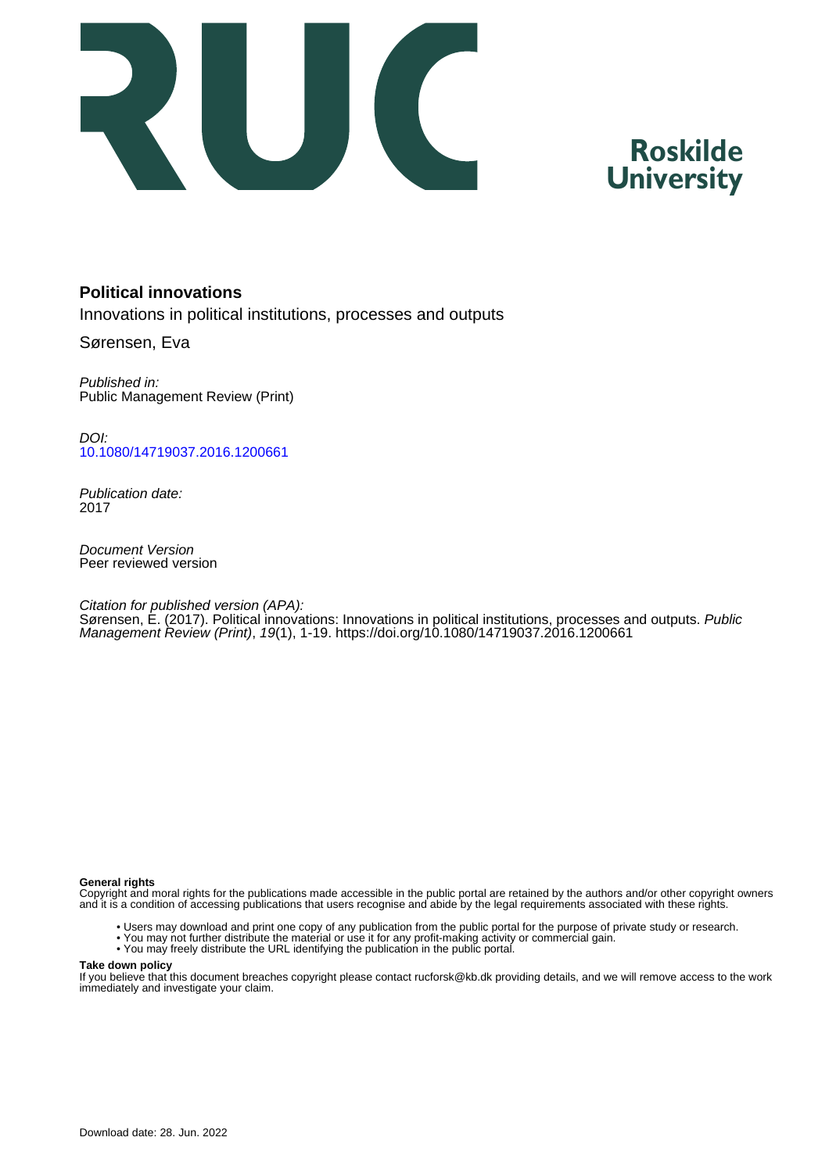

# **Roskilde University**

# **Political innovations**

Innovations in political institutions, processes and outputs

Sørensen, Eva

Published in: Public Management Review (Print)

DOI: [10.1080/14719037.2016.1200661](https://doi.org/10.1080/14719037.2016.1200661)

Publication date: 2017

Document Version Peer reviewed version

Citation for published version (APA):

Sørensen, É. (2017). Political innovations: Innovations in political institutions, processes and outputs. Public Management Review (Print), 19(1), 1-19. <https://doi.org/10.1080/14719037.2016.1200661>

#### **General rights**

Copyright and moral rights for the publications made accessible in the public portal are retained by the authors and/or other copyright owners and it is a condition of accessing publications that users recognise and abide by the legal requirements associated with these rights.

- Users may download and print one copy of any publication from the public portal for the purpose of private study or research.
- You may not further distribute the material or use it for any profit-making activity or commercial gain.
- You may freely distribute the URL identifying the publication in the public portal.

#### **Take down policy**

If you believe that this document breaches copyright please contact rucforsk@kb.dk providing details, and we will remove access to the work immediately and investigate your claim.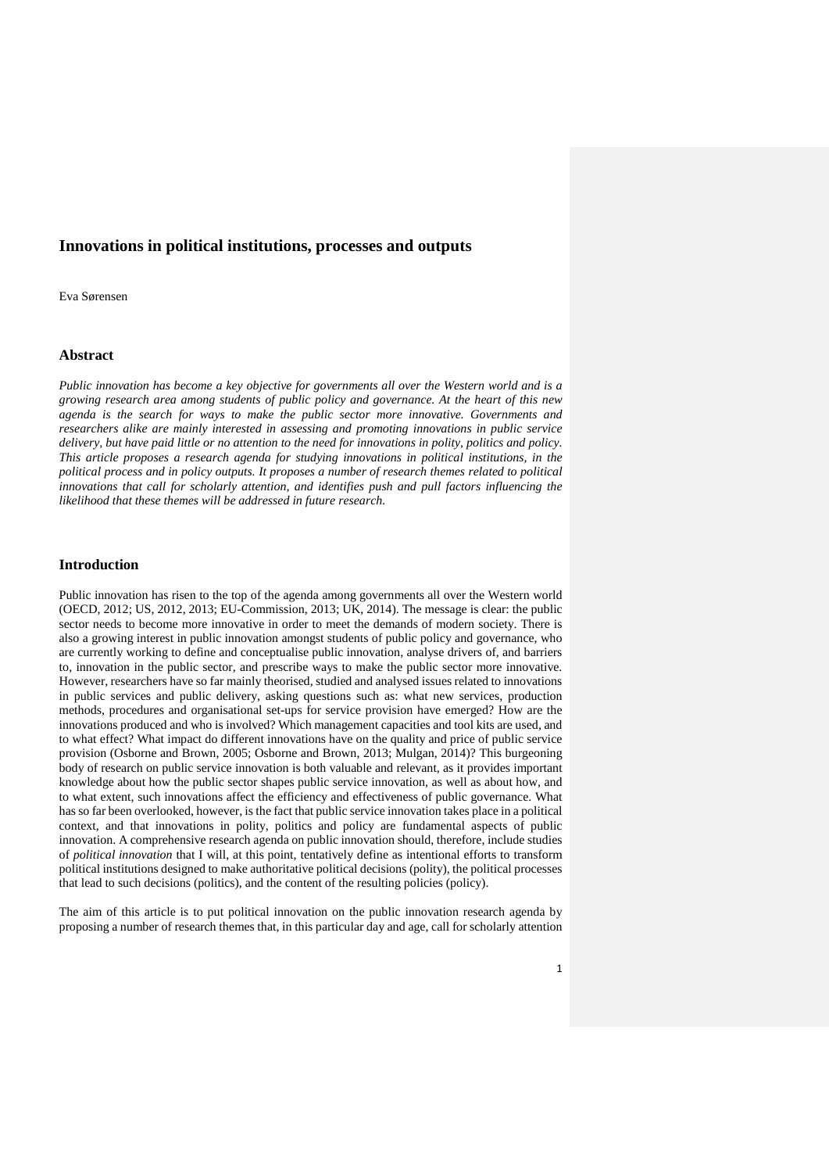# **Innovations in political institutions, processes and outputs**

Eva Sørensen

#### **Abstract**

*Public innovation has become a key objective for governments all over the Western world and is a growing research area among students of public policy and governance. At the heart of this new agenda is the search for ways to make the public sector more innovative. Governments and researchers alike are mainly interested in assessing and promoting innovations in public service delivery, but have paid little or no attention to the need for innovations in polity, politics and policy. This article proposes a research agenda for studying innovations in political institutions, in the political process and in policy outputs. It proposes a number of research themes related to political innovations that call for scholarly attention, and identifies push and pull factors influencing the likelihood that these themes will be addressed in future research.* 

#### **Introduction**

Public innovation has risen to the top of the agenda among governments all over the Western world (OECD, 2012; US, 2012, 2013; EU-Commission, 2013; UK, 2014). The message is clear: the public sector needs to become more innovative in order to meet the demands of modern society. There is also a growing interest in public innovation amongst students of public policy and governance, who are currently working to define and conceptualise public innovation, analyse drivers of, and barriers to, innovation in the public sector, and prescribe ways to make the public sector more innovative. However, researchers have so far mainly theorised, studied and analysed issues related to innovations in public services and public delivery, asking questions such as: what new services, production methods, procedures and organisational set-ups for service provision have emerged? How are the innovations produced and who is involved? Which management capacities and tool kits are used, and to what effect? What impact do different innovations have on the quality and price of public service provision (Osborne and Brown, 2005; Osborne and Brown, 2013; Mulgan, 2014)? This burgeoning body of research on public service innovation is both valuable and relevant, as it provides important knowledge about how the public sector shapes public service innovation, as well as about how, and to what extent, such innovations affect the efficiency and effectiveness of public governance. What has so far been overlooked, however, is the fact that public service innovation takes place in a political context, and that innovations in polity, politics and policy are fundamental aspects of public innovation. A comprehensive research agenda on public innovation should, therefore, include studies of *political innovation* that I will, at this point, tentatively define as intentional efforts to transform political institutions designed to make authoritative political decisions (polity), the political processes that lead to such decisions (politics), and the content of the resulting policies (policy).

The aim of this article is to put political innovation on the public innovation research agenda by proposing a number of research themes that, in this particular day and age, call for scholarly attention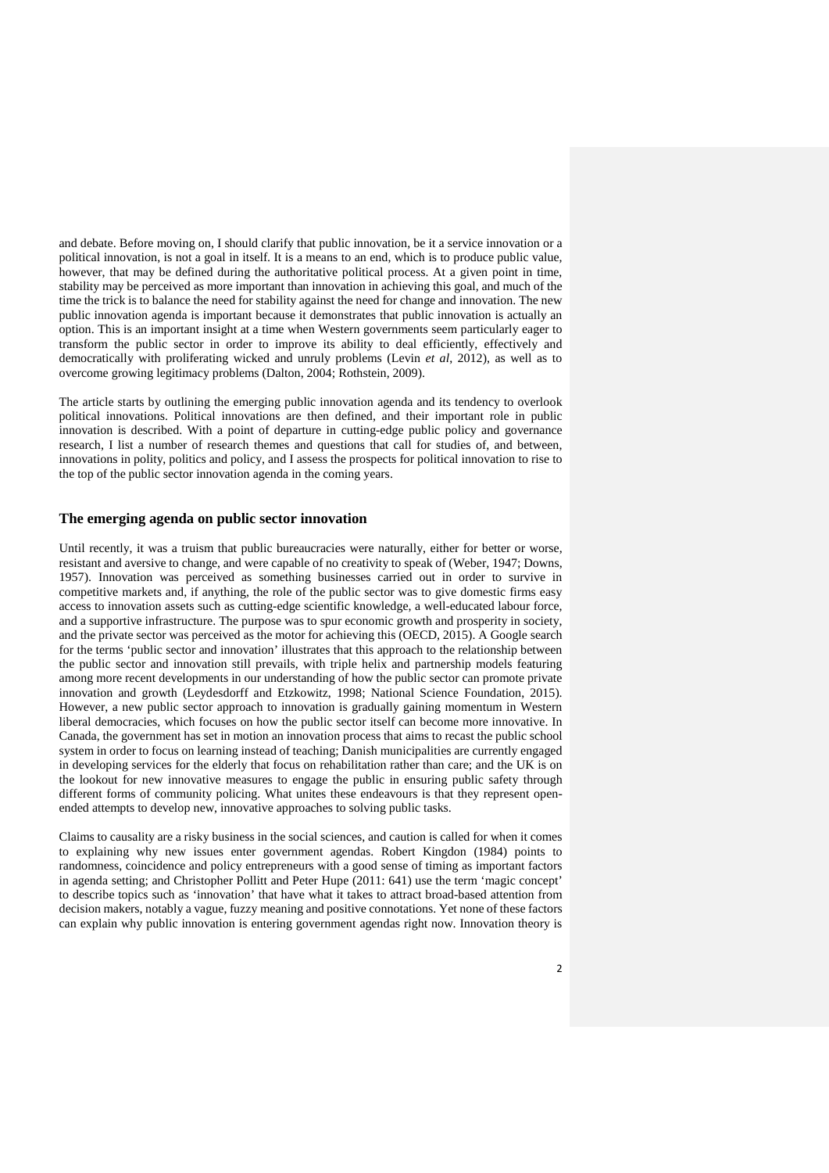and debate. Before moving on, I should clarify that public innovation, be it a service innovation or a political innovation, is not a goal in itself. It is a means to an end, which is to produce public value, however, that may be defined during the authoritative political process. At a given point in time, stability may be perceived as more important than innovation in achieving this goal, and much of the time the trick is to balance the need for stability against the need for change and innovation. The new public innovation agenda is important because it demonstrates that public innovation is actually an option. This is an important insight at a time when Western governments seem particularly eager to transform the public sector in order to improve its ability to deal efficiently, effectively and democratically with proliferating wicked and unruly problems (Levin *et al*, 2012), as well as to overcome growing legitimacy problems (Dalton, 2004; Rothstein, 2009).

The article starts by outlining the emerging public innovation agenda and its tendency to overlook political innovations. Political innovations are then defined, and their important role in public innovation is described. With a point of departure in cutting-edge public policy and governance research, I list a number of research themes and questions that call for studies of, and between, innovations in polity, politics and policy, and I assess the prospects for political innovation to rise to the top of the public sector innovation agenda in the coming years.

### **The emerging agenda on public sector innovation**

Until recently, it was a truism that public bureaucracies were naturally, either for better or worse, resistant and aversive to change, and were capable of no creativity to speak of (Weber, 1947; Downs, 1957). Innovation was perceived as something businesses carried out in order to survive in competitive markets and, if anything, the role of the public sector was to give domestic firms easy access to innovation assets such as cutting-edge scientific knowledge, a well-educated labour force, and a supportive infrastructure. The purpose was to spur economic growth and prosperity in society, and the private sector was perceived as the motor for achieving this (OECD, 2015). A Google search for the terms 'public sector and innovation' illustrates that this approach to the relationship between the public sector and innovation still prevails, with triple helix and partnership models featuring among more recent developments in our understanding of how the public sector can promote private innovation and growth (Leydesdorff and Etzkowitz, 1998; National Science Foundation, 2015). However, a new public sector approach to innovation is gradually gaining momentum in Western liberal democracies, which focuses on how the public sector itself can become more innovative. In Canada, the government has set in motion an innovation process that aims to recast the public school system in order to focus on learning instead of teaching; Danish municipalities are currently engaged in developing services for the elderly that focus on rehabilitation rather than care; and the UK is on the lookout for new innovative measures to engage the public in ensuring public safety through different forms of community policing. What unites these endeavours is that they represent openended attempts to develop new, innovative approaches to solving public tasks.

Claims to causality are a risky business in the social sciences, and caution is called for when it comes to explaining why new issues enter government agendas. Robert Kingdon (1984) points to randomness, coincidence and policy entrepreneurs with a good sense of timing as important factors in agenda setting; and Christopher Pollitt and Peter Hupe (2011: 641) use the term 'magic concept' to describe topics such as 'innovation' that have what it takes to attract broad-based attention from decision makers, notably a vague, fuzzy meaning and positive connotations. Yet none of these factors can explain why public innovation is entering government agendas right now. Innovation theory is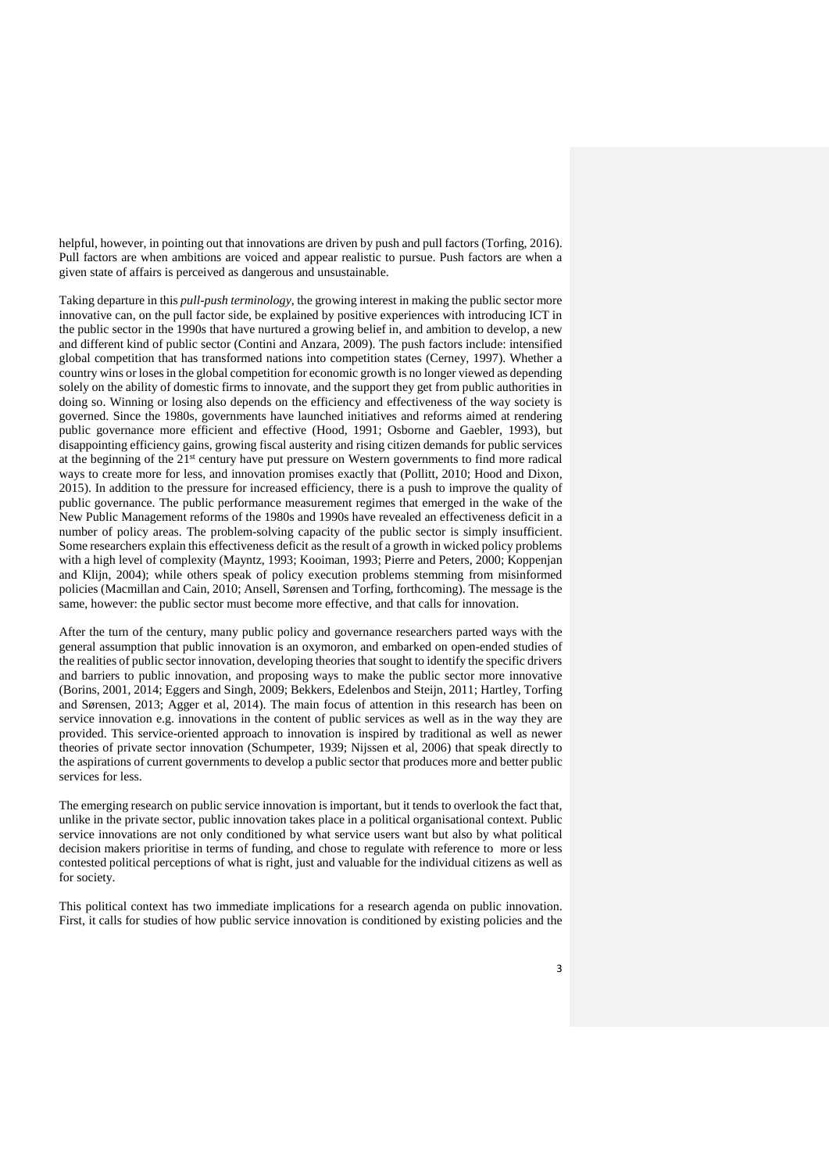helpful, however, in pointing out that innovations are driven by push and pull factors (Torfing, 2016). Pull factors are when ambitions are voiced and appear realistic to pursue. Push factors are when a given state of affairs is perceived as dangerous and unsustainable.

Taking departure in this *pull-push terminology*, the growing interest in making the public sector more innovative can, on the pull factor side, be explained by positive experiences with introducing ICT in the public sector in the 1990s that have nurtured a growing belief in, and ambition to develop, a new and different kind of public sector (Contini and Anzara, 2009). The push factors include: intensified global competition that has transformed nations into competition states (Cerney, 1997). Whether a country wins or loses in the global competition for economic growth is no longer viewed as depending solely on the ability of domestic firms to innovate, and the support they get from public authorities in doing so. Winning or losing also depends on the efficiency and effectiveness of the way society is governed. Since the 1980s, governments have launched initiatives and reforms aimed at rendering public governance more efficient and effective (Hood, 1991; Osborne and Gaebler, 1993), but disappointing efficiency gains, growing fiscal austerity and rising citizen demands for public services at the beginning of the 21st century have put pressure on Western governments to find more radical ways to create more for less, and innovation promises exactly that (Pollitt, 2010; Hood and Dixon, 2015). In addition to the pressure for increased efficiency, there is a push to improve the quality of public governance. The public performance measurement regimes that emerged in the wake of the New Public Management reforms of the 1980s and 1990s have revealed an effectiveness deficit in a number of policy areas. The problem-solving capacity of the public sector is simply insufficient. Some researchers explain this effectiveness deficit as the result of a growth in wicked policy problems with a high level of complexity (Mayntz, 1993; Kooiman, 1993; Pierre and Peters, 2000; Koppenjan and Klijn, 2004); while others speak of policy execution problems stemming from misinformed policies (Macmillan and Cain, 2010; Ansell, Sørensen and Torfing, forthcoming). The message is the same, however: the public sector must become more effective, and that calls for innovation.

After the turn of the century, many public policy and governance researchers parted ways with the general assumption that public innovation is an oxymoron, and embarked on open-ended studies of the realities of public sector innovation, developing theories that sought to identify the specific drivers and barriers to public innovation, and proposing ways to make the public sector more innovative (Borins, 2001, 2014; Eggers and Singh, 2009; Bekkers, Edelenbos and Steijn, 2011; Hartley, Torfing and Sørensen, 2013; Agger et al, 2014). The main focus of attention in this research has been on service innovation e.g. innovations in the content of public services as well as in the way they are provided. This service-oriented approach to innovation is inspired by traditional as well as newer theories of private sector innovation (Schumpeter, 1939; Nijssen et al, 2006) that speak directly to the aspirations of current governments to develop a public sector that produces more and better public services for less.

The emerging research on public service innovation is important, but it tends to overlook the fact that, unlike in the private sector, public innovation takes place in a political organisational context. Public service innovations are not only conditioned by what service users want but also by what political decision makers prioritise in terms of funding, and chose to regulate with reference to more or less contested political perceptions of what is right, just and valuable for the individual citizens as well as for society.

This political context has two immediate implications for a research agenda on public innovation. First, it calls for studies of how public service innovation is conditioned by existing policies and the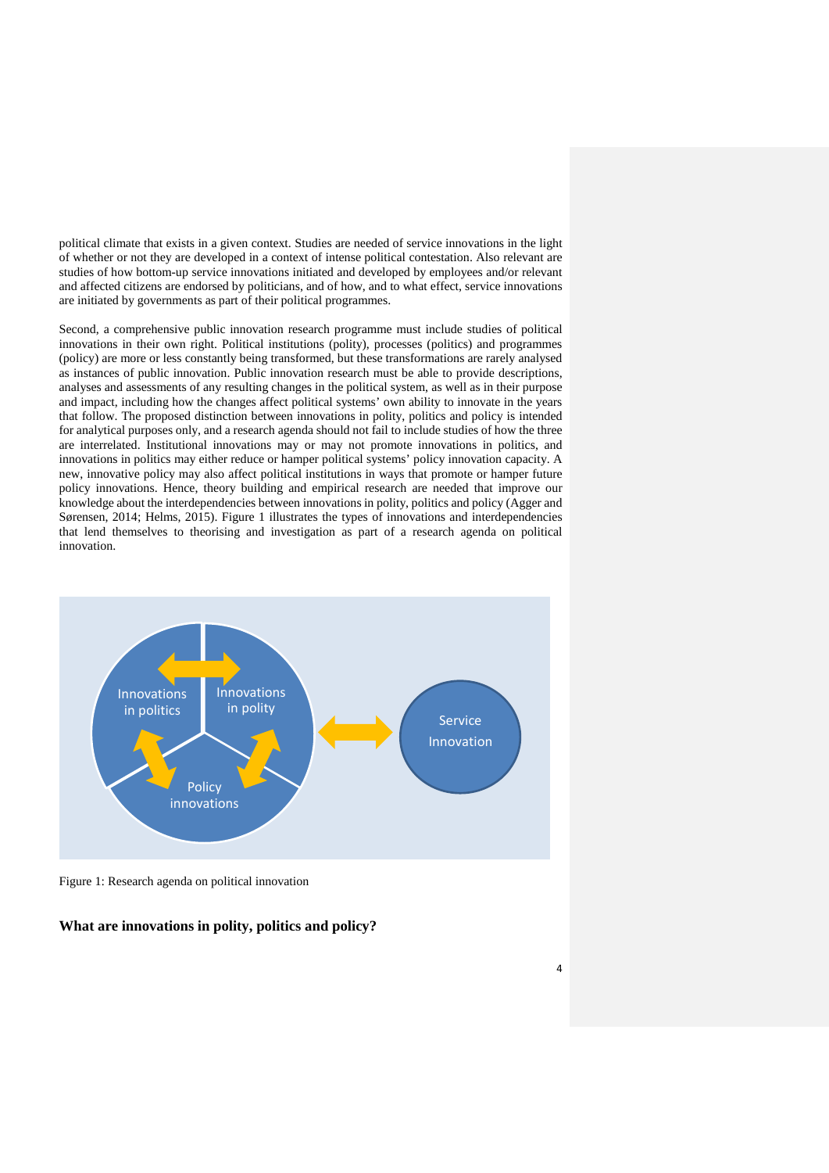political climate that exists in a given context. Studies are needed of service innovations in the light of whether or not they are developed in a context of intense political contestation. Also relevant are studies of how bottom-up service innovations initiated and developed by employees and/or relevant and affected citizens are endorsed by politicians, and of how, and to what effect, service innovations are initiated by governments as part of their political programmes.

Second, a comprehensive public innovation research programme must include studies of political innovations in their own right. Political institutions (polity), processes (politics) and programmes (policy) are more or less constantly being transformed, but these transformations are rarely analysed as instances of public innovation. Public innovation research must be able to provide descriptions, analyses and assessments of any resulting changes in the political system, as well as in their purpose and impact, including how the changes affect political systems' own ability to innovate in the years that follow. The proposed distinction between innovations in polity, politics and policy is intended for analytical purposes only, and a research agenda should not fail to include studies of how the three are interrelated. Institutional innovations may or may not promote innovations in politics, and innovations in politics may either reduce or hamper political systems' policy innovation capacity. A new, innovative policy may also affect political institutions in ways that promote or hamper future policy innovations. Hence, theory building and empirical research are needed that improve our knowledge about the interdependencies between innovations in polity, politics and policy (Agger and Sørensen, 2014; Helms, 2015). Figure 1 illustrates the types of innovations and interdependencies that lend themselves to theorising and investigation as part of a research agenda on political innovation.



Figure 1: Research agenda on political innovation

**What are innovations in polity, politics and policy?**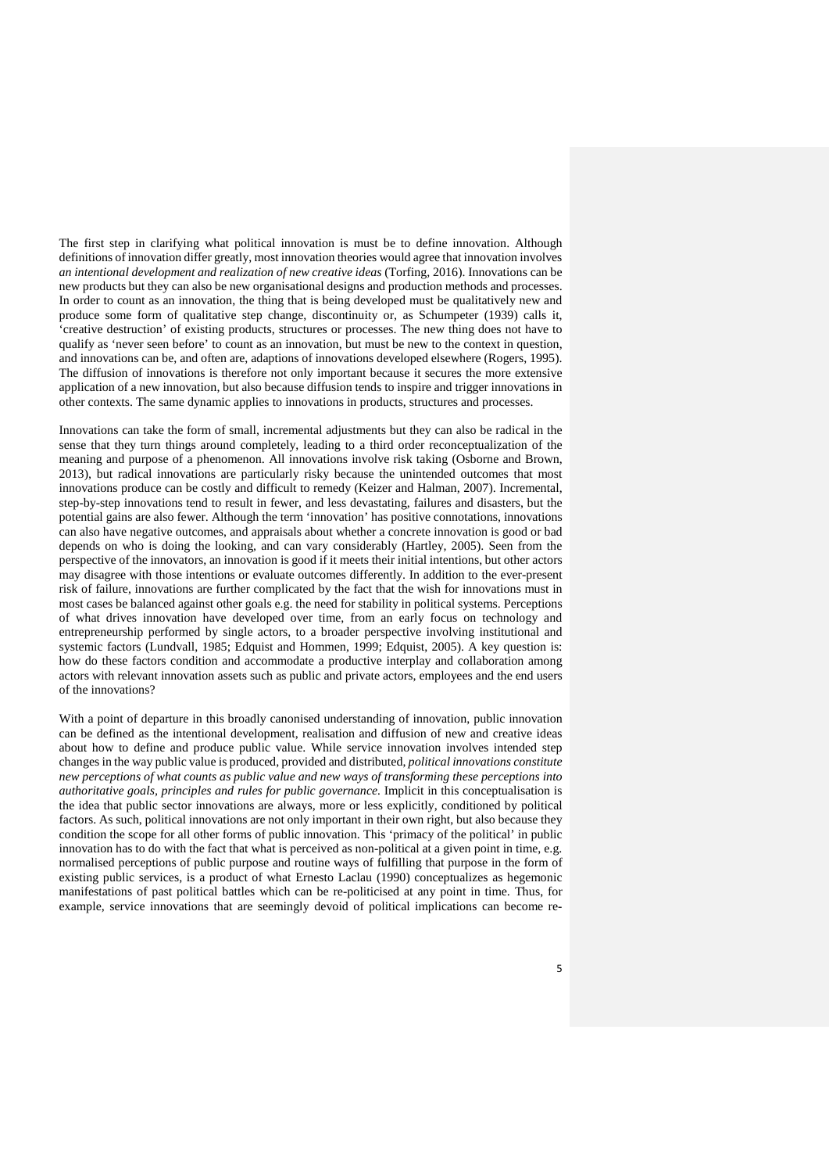The first step in clarifying what political innovation is must be to define innovation. Although definitions of innovation differ greatly, most innovation theories would agree that innovation involves *an intentional development and realization of new creative ideas* (Torfing, 2016). Innovations can be new products but they can also be new organisational designs and production methods and processes. In order to count as an innovation, the thing that is being developed must be qualitatively new and produce some form of qualitative step change, discontinuity or, as Schumpeter (1939) calls it, 'creative destruction' of existing products, structures or processes. The new thing does not have to qualify as 'never seen before' to count as an innovation, but must be new to the context in question, and innovations can be, and often are, adaptions of innovations developed elsewhere (Rogers, 1995). The diffusion of innovations is therefore not only important because it secures the more extensive application of a new innovation, but also because diffusion tends to inspire and trigger innovations in other contexts. The same dynamic applies to innovations in products, structures and processes.

Innovations can take the form of small, incremental adjustments but they can also be radical in the sense that they turn things around completely, leading to a third order reconceptualization of the meaning and purpose of a phenomenon. All innovations involve risk taking (Osborne and Brown, 2013), but radical innovations are particularly risky because the unintended outcomes that most innovations produce can be costly and difficult to remedy (Keizer and Halman, 2007). Incremental, step-by-step innovations tend to result in fewer, and less devastating, failures and disasters, but the potential gains are also fewer. Although the term 'innovation' has positive connotations, innovations can also have negative outcomes, and appraisals about whether a concrete innovation is good or bad depends on who is doing the looking, and can vary considerably (Hartley, 2005). Seen from the perspective of the innovators, an innovation is good if it meets their initial intentions, but other actors may disagree with those intentions or evaluate outcomes differently. In addition to the ever-present risk of failure, innovations are further complicated by the fact that the wish for innovations must in most cases be balanced against other goals e.g. the need for stability in political systems. Perceptions of what drives innovation have developed over time, from an early focus on technology and entrepreneurship performed by single actors, to a broader perspective involving institutional and systemic factors (Lundvall, 1985; Edquist and Hommen, 1999; Edquist, 2005). A key question is: how do these factors condition and accommodate a productive interplay and collaboration among actors with relevant innovation assets such as public and private actors, employees and the end users of the innovations?

With a point of departure in this broadly canonised understanding of innovation, public innovation can be defined as the intentional development, realisation and diffusion of new and creative ideas about how to define and produce public value. While service innovation involves intended step changes in the way public value is produced, provided and distributed, *political innovations constitute new perceptions of what counts as public value and new ways of transforming these perceptions into authoritative goals, principles and rules for public governance.* Implicit in this conceptualisation is the idea that public sector innovations are always, more or less explicitly, conditioned by political factors. As such, political innovations are not only important in their own right, but also because they condition the scope for all other forms of public innovation. This 'primacy of the political' in public innovation has to do with the fact that what is perceived as non-political at a given point in time, e.g. normalised perceptions of public purpose and routine ways of fulfilling that purpose in the form of existing public services, is a product of what Ernesto Laclau (1990) conceptualizes as hegemonic manifestations of past political battles which can be re-politicised at any point in time. Thus, for example, service innovations that are seemingly devoid of political implications can become re-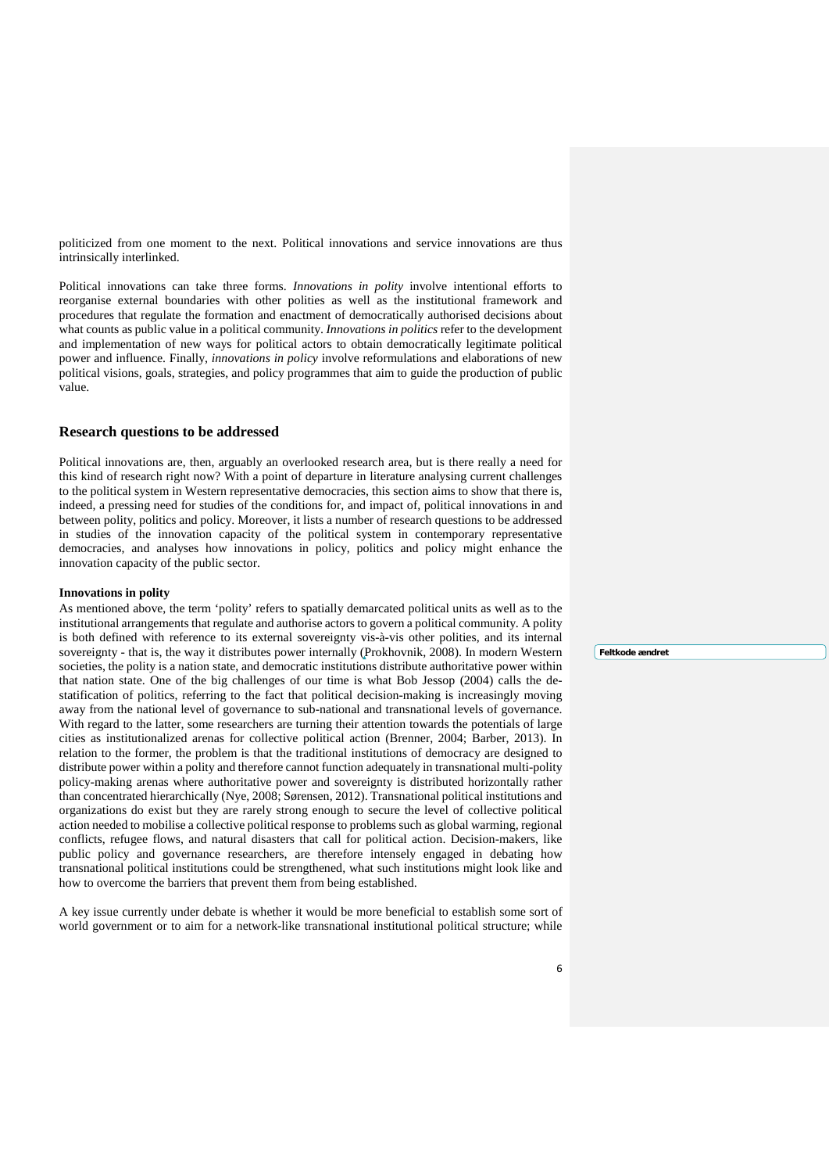politicized from one moment to the next. Political innovations and service innovations are thus intrinsically interlinked.

Political innovations can take three forms. *Innovations in polity* involve intentional efforts to reorganise external boundaries with other polities as well as the institutional framework and procedures that regulate the formation and enactment of democratically authorised decisions about what counts as public value in a political community. *Innovations in politics* refer to the development and implementation of new ways for political actors to obtain democratically legitimate political power and influence. Finally, *innovations in policy* involve reformulations and elaborations of new political visions, goals, strategies, and policy programmes that aim to guide the production of public value.

#### **Research questions to be addressed**

Political innovations are, then, arguably an overlooked research area, but is there really a need for this kind of research right now? With a point of departure in literature analysing current challenges to the political system in Western representative democracies, this section aims to show that there is, indeed, a pressing need for studies of the conditions for, and impact of, political innovations in and between polity, politics and policy. Moreover, it lists a number of research questions to be addressed in studies of the innovation capacity of the political system in contemporary representative democracies, and analyses how innovations in policy, politics and policy might enhance the innovation capacity of the public sector.

#### **Innovations in polity**

As mentioned above, the term 'polity' refers to spatially demarcated political units as well as to the institutional arrangements that regulate and authorise actors to govern a political community. A polity is both defined with reference to its external sovereignty vis-à-vis other polities, and its internal sovereignty - that is, the way it distributes power internally [\(Prokhovnik,](https://en.wikipedia.org/wiki/Raia_Prokhovnik) 2008). In modern Western societies, the polity is a nation state, and democratic institutions distribute authoritative power within that nation state. One of the big challenges of our time is what Bob Jessop (2004) calls the destatification of politics, referring to the fact that political decision-making is increasingly moving away from the national level of governance to sub-national and transnational levels of governance. With regard to the latter, some researchers are turning their attention towards the potentials of large cities as institutionalized arenas for collective political action (Brenner, 2004; Barber, 2013). In relation to the former, the problem is that the traditional institutions of democracy are designed to distribute power within a polity and therefore cannot function adequately in transnational multi-polity policy-making arenas where authoritative power and sovereignty is distributed horizontally rather than concentrated hierarchically (Nye, 2008; Sørensen, 2012). Transnational political institutions and organizations do exist but they are rarely strong enough to secure the level of collective political action needed to mobilise a collective political response to problems such as global warming, regional conflicts, refugee flows, and natural disasters that call for political action. Decision-makers, like public policy and governance researchers, are therefore intensely engaged in debating how transnational political institutions could be strengthened, what such institutions might look like and how to overcome the barriers that prevent them from being established.

A key issue currently under debate is whether it would be more beneficial to establish some sort of world government or to aim for a network-like transnational institutional political structure; while

**Feltkode ændret**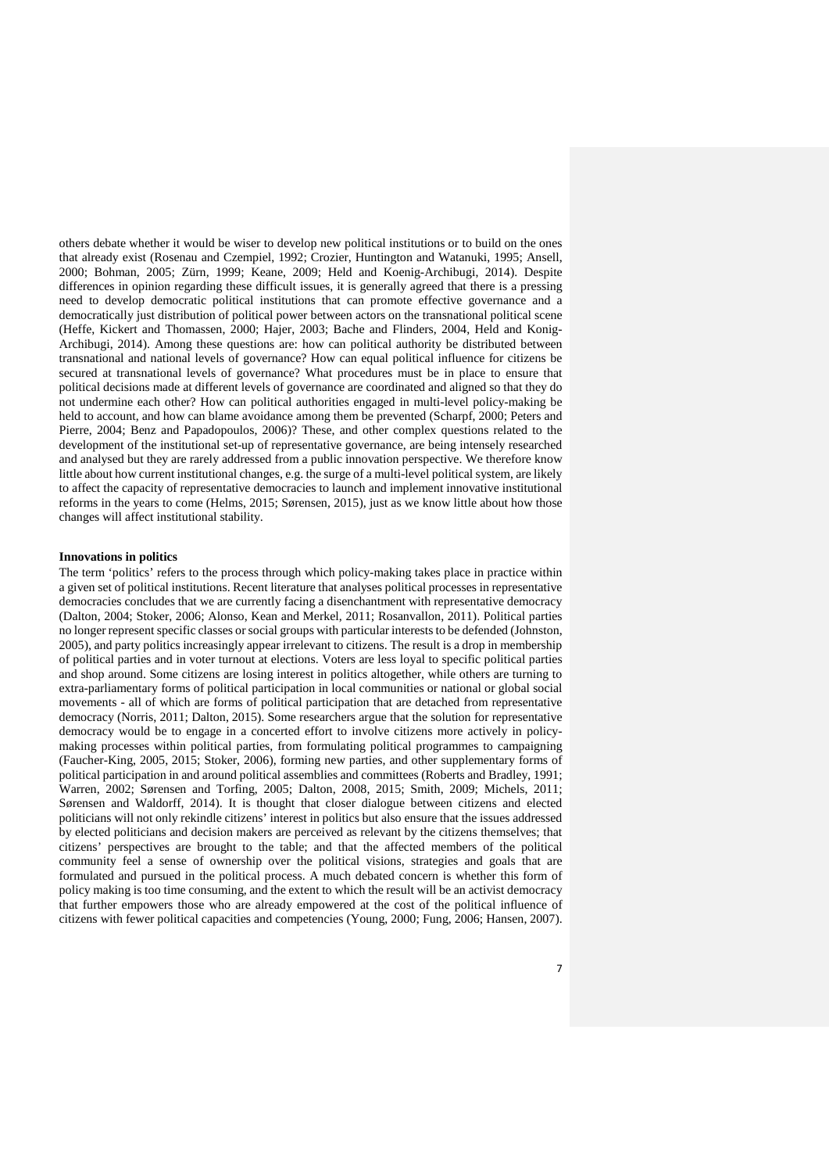others debate whether it would be wiser to develop new political institutions or to build on the ones that already exist (Rosenau and Czempiel, 1992; Crozier, Huntington and Watanuki, 1995; Ansell, 2000; Bohman, 2005; Zürn, 1999; Keane, 2009; Held and Koenig-Archibugi, 2014). Despite differences in opinion regarding these difficult issues, it is generally agreed that there is a pressing need to develop democratic political institutions that can promote effective governance and a democratically just distribution of political power between actors on the transnational political scene (Heffe, Kickert and Thomassen, 2000; Hajer, 2003; Bache and Flinders, 2004, Held and Konig-Archibugi, 2014). Among these questions are: how can political authority be distributed between transnational and national levels of governance? How can equal political influence for citizens be secured at transnational levels of governance? What procedures must be in place to ensure that political decisions made at different levels of governance are coordinated and aligned so that they do not undermine each other? How can political authorities engaged in multi-level policy-making be held to account, and how can blame avoidance among them be prevented (Scharpf, 2000; Peters and Pierre, 2004; Benz and Papadopoulos, 2006)? These, and other complex questions related to the development of the institutional set-up of representative governance, are being intensely researched and analysed but they are rarely addressed from a public innovation perspective. We therefore know little about how current institutional changes, e.g. the surge of a multi-level political system, are likely to affect the capacity of representative democracies to launch and implement innovative institutional reforms in the years to come (Helms, 2015; Sørensen, 2015), just as we know little about how those changes will affect institutional stability.

#### **Innovations in politics**

The term 'politics' refers to the process through which policy-making takes place in practice within a given set of political institutions. Recent literature that analyses political processes in representative democracies concludes that we are currently facing a disenchantment with representative democracy (Dalton, 2004; Stoker, 2006; Alonso, Kean and Merkel, 2011; Rosanvallon, 2011). Political parties no longer represent specific classes or social groups with particular interests to be defended (Johnston, 2005), and party politics increasingly appear irrelevant to citizens. The result is a drop in membership of political parties and in voter turnout at elections. Voters are less loyal to specific political parties and shop around. Some citizens are losing interest in politics altogether, while others are turning to extra-parliamentary forms of political participation in local communities or national or global social movements - all of which are forms of political participation that are detached from representative democracy (Norris, 2011; Dalton, 2015). Some researchers argue that the solution for representative democracy would be to engage in a concerted effort to involve citizens more actively in policymaking processes within political parties, from formulating political programmes to campaigning (Faucher-King, 2005, 2015; Stoker, 2006), forming new parties, and other supplementary forms of political participation in and around political assemblies and committees (Roberts and Bradley, 1991; Warren, 2002; Sørensen and Torfing, 2005; Dalton, 2008, 2015; Smith, 2009; Michels, 2011; Sørensen and Waldorff, 2014). It is thought that closer dialogue between citizens and elected politicians will not only rekindle citizens' interest in politics but also ensure that the issues addressed by elected politicians and decision makers are perceived as relevant by the citizens themselves; that citizens' perspectives are brought to the table; and that the affected members of the political community feel a sense of ownership over the political visions, strategies and goals that are formulated and pursued in the political process. A much debated concern is whether this form of policy making is too time consuming, and the extent to which the result will be an activist democracy that further empowers those who are already empowered at the cost of the political influence of citizens with fewer political capacities and competencies (Young, 2000; Fung, 2006; Hansen, 2007).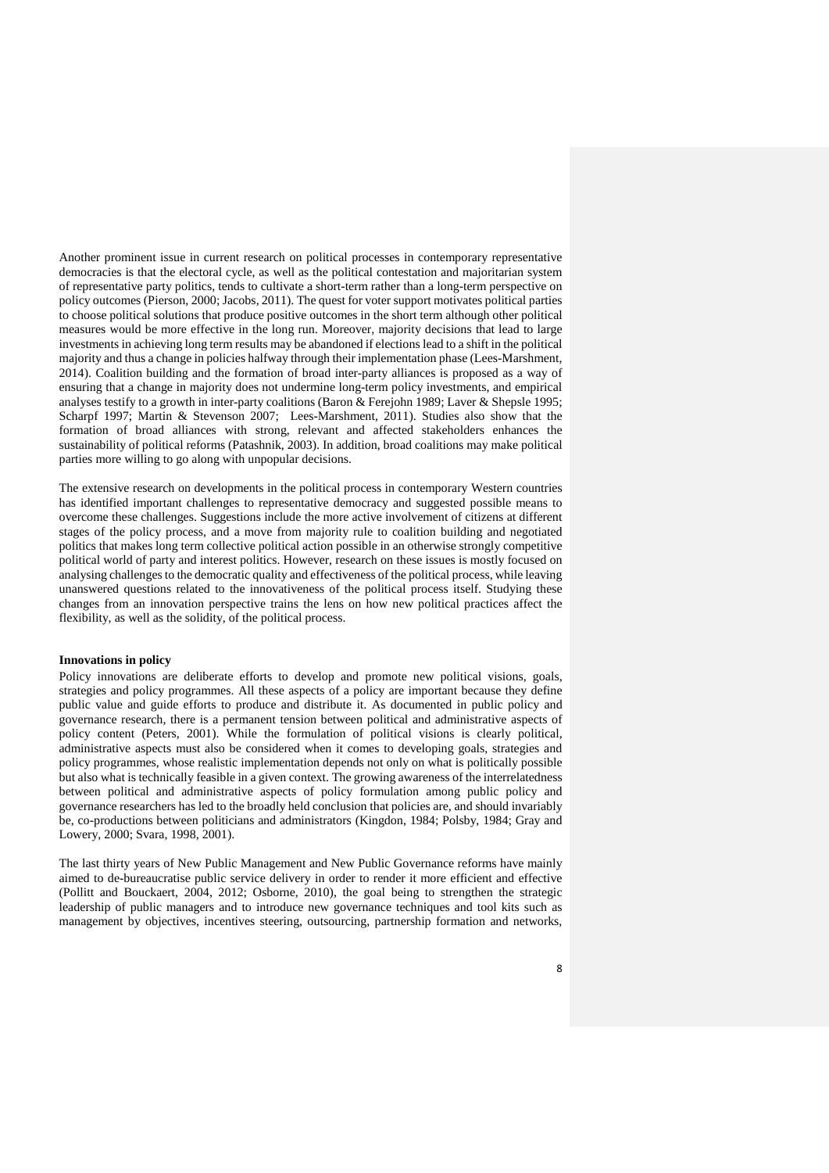Another prominent issue in current research on political processes in contemporary representative democracies is that the electoral cycle, as well as the political contestation and majoritarian system of representative party politics, tends to cultivate a short-term rather than a long-term perspective on policy outcomes (Pierson, 2000; Jacobs, 2011). The quest for voter support motivates political parties to choose political solutions that produce positive outcomes in the short term although other political measures would be more effective in the long run. Moreover, majority decisions that lead to large investments in achieving long term results may be abandoned if elections lead to a shift in the political majority and thus a change in policies halfway through their implementation phase (Lees-Marshment, 2014). Coalition building and the formation of broad inter-party alliances is proposed as a way of ensuring that a change in majority does not undermine long-term policy investments, and empirical analyses testify to a growth in inter-party coalitions (Baron & Ferejohn 1989; Laver & Shepsle 1995; Scharpf 1997; Martin & Stevenson 2007; Lees-Marshment, 2011). Studies also show that the formation of broad alliances with strong, relevant and affected stakeholders enhances the sustainability of political reforms (Patashnik, 2003). In addition, broad coalitions may make political parties more willing to go along with unpopular decisions.

The extensive research on developments in the political process in contemporary Western countries has identified important challenges to representative democracy and suggested possible means to overcome these challenges. Suggestions include the more active involvement of citizens at different stages of the policy process, and a move from majority rule to coalition building and negotiated politics that makes long term collective political action possible in an otherwise strongly competitive political world of party and interest politics. However, research on these issues is mostly focused on analysing challenges to the democratic quality and effectiveness of the political process, while leaving unanswered questions related to the innovativeness of the political process itself. Studying these changes from an innovation perspective trains the lens on how new political practices affect the flexibility, as well as the solidity, of the political process.

#### **Innovations in policy**

Policy innovations are deliberate efforts to develop and promote new political visions, goals, strategies and policy programmes. All these aspects of a policy are important because they define public value and guide efforts to produce and distribute it. As documented in public policy and governance research, there is a permanent tension between political and administrative aspects of policy content (Peters, 2001). While the formulation of political visions is clearly political, administrative aspects must also be considered when it comes to developing goals, strategies and policy programmes, whose realistic implementation depends not only on what is politically possible but also what is technically feasible in a given context. The growing awareness of the interrelatedness between political and administrative aspects of policy formulation among public policy and governance researchers has led to the broadly held conclusion that policies are, and should invariably be, co-productions between politicians and administrators (Kingdon, 1984; Polsby, 1984; Gray and Lowery, 2000; Svara, 1998, 2001).

The last thirty years of New Public Management and New Public Governance reforms have mainly aimed to de-bureaucratise public service delivery in order to render it more efficient and effective (Pollitt and Bouckaert, 2004, 2012; Osborne, 2010), the goal being to strengthen the strategic leadership of public managers and to introduce new governance techniques and tool kits such as management by objectives, incentives steering, outsourcing, partnership formation and networks,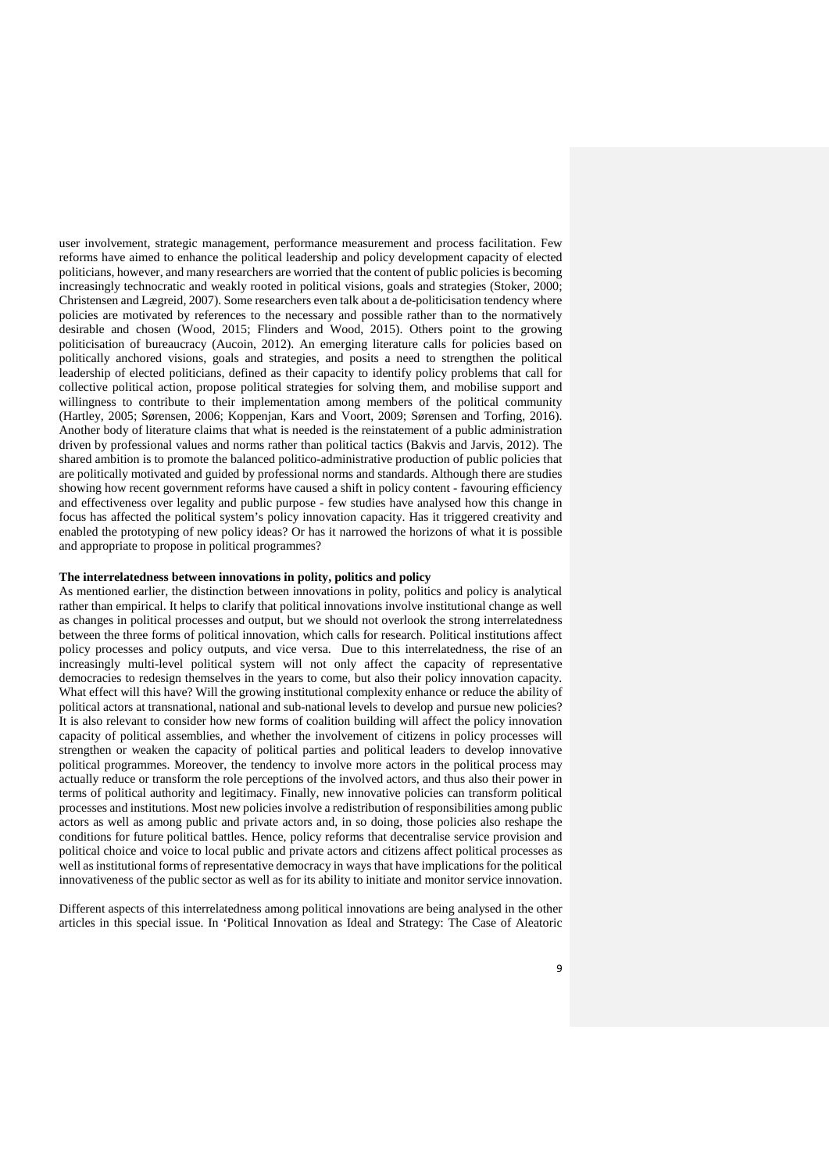user involvement, strategic management, performance measurement and process facilitation. Few reforms have aimed to enhance the political leadership and policy development capacity of elected politicians, however, and many researchers are worried that the content of public policies is becoming increasingly technocratic and weakly rooted in political visions, goals and strategies (Stoker, 2000; Christensen and Lægreid, 2007). Some researchers even talk about a de-politicisation tendency where policies are motivated by references to the necessary and possible rather than to the normatively desirable and chosen (Wood, 2015; Flinders and Wood, 2015). Others point to the growing politicisation of bureaucracy (Aucoin, 2012). An emerging literature calls for policies based on politically anchored visions, goals and strategies, and posits a need to strengthen the political leadership of elected politicians, defined as their capacity to identify policy problems that call for collective political action, propose political strategies for solving them, and mobilise support and willingness to contribute to their implementation among members of the political community (Hartley, 2005; Sørensen, 2006; Koppenjan, Kars and Voort, 2009; Sørensen and Torfing, 2016). Another body of literature claims that what is needed is the reinstatement of a public administration driven by professional values and norms rather than political tactics (Bakvis and Jarvis, 2012). The shared ambition is to promote the balanced politico-administrative production of public policies that are politically motivated and guided by professional norms and standards. Although there are studies showing how recent government reforms have caused a shift in policy content - favouring efficiency and effectiveness over legality and public purpose - few studies have analysed how this change in focus has affected the political system's policy innovation capacity. Has it triggered creativity and enabled the prototyping of new policy ideas? Or has it narrowed the horizons of what it is possible and appropriate to propose in political programmes?

#### **The interrelatedness between innovations in polity, politics and policy**

As mentioned earlier, the distinction between innovations in polity, politics and policy is analytical rather than empirical. It helps to clarify that political innovations involve institutional change as well as changes in political processes and output, but we should not overlook the strong interrelatedness between the three forms of political innovation, which calls for research. Political institutions affect policy processes and policy outputs, and vice versa. Due to this interrelatedness, the rise of an increasingly multi-level political system will not only affect the capacity of representative democracies to redesign themselves in the years to come, but also their policy innovation capacity. What effect will this have? Will the growing institutional complexity enhance or reduce the ability of political actors at transnational, national and sub-national levels to develop and pursue new policies? It is also relevant to consider how new forms of coalition building will affect the policy innovation capacity of political assemblies, and whether the involvement of citizens in policy processes will strengthen or weaken the capacity of political parties and political leaders to develop innovative political programmes. Moreover, the tendency to involve more actors in the political process may actually reduce or transform the role perceptions of the involved actors, and thus also their power in terms of political authority and legitimacy. Finally, new innovative policies can transform political processes and institutions. Most new policies involve a redistribution of responsibilities among public actors as well as among public and private actors and, in so doing, those policies also reshape the conditions for future political battles. Hence, policy reforms that decentralise service provision and political choice and voice to local public and private actors and citizens affect political processes as well as institutional forms of representative democracy in ways that have implications for the political innovativeness of the public sector as well as for its ability to initiate and monitor service innovation.

Different aspects of this interrelatedness among political innovations are being analysed in the other articles in this special issue. In 'Political Innovation as Ideal and Strategy: The Case of Aleatoric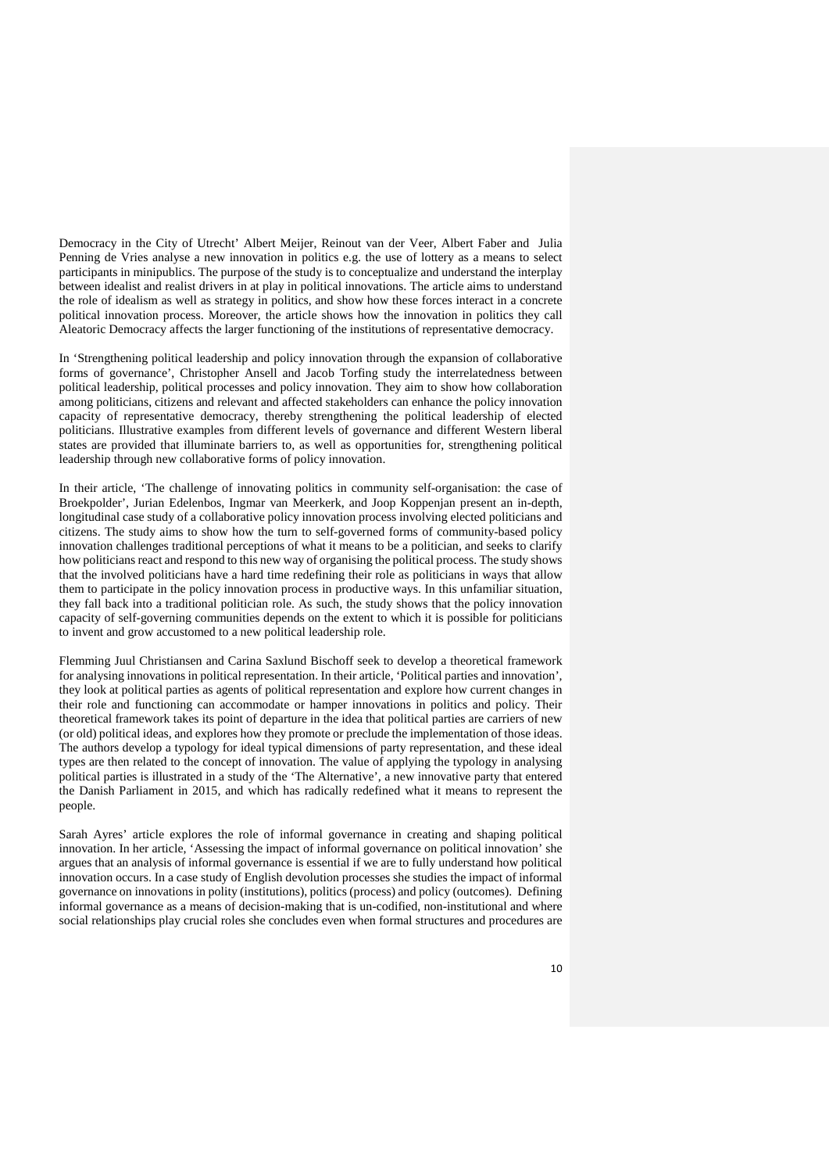Democracy in the City of Utrecht' Albert Meijer, Reinout van der Veer, Albert Faber and Julia Penning de Vries analyse a new innovation in politics e.g. the use of lottery as a means to select participants in minipublics. The purpose of the study is to conceptualize and understand the interplay between idealist and realist drivers in at play in political innovations. The article aims to understand the role of idealism as well as strategy in politics, and show how these forces interact in a concrete political innovation process. Moreover, the article shows how the innovation in politics they call Aleatoric Democracy affects the larger functioning of the institutions of representative democracy.

In 'Strengthening political leadership and policy innovation through the expansion of collaborative forms of governance', Christopher Ansell and Jacob Torfing study the interrelatedness between political leadership, political processes and policy innovation. They aim to show how collaboration among politicians, citizens and relevant and affected stakeholders can enhance the policy innovation capacity of representative democracy, thereby strengthening the political leadership of elected politicians. Illustrative examples from different levels of governance and different Western liberal states are provided that illuminate barriers to, as well as opportunities for, strengthening political leadership through new collaborative forms of policy innovation.

In their article, 'The challenge of innovating politics in community self-organisation: the case of Broekpolder', Jurian Edelenbos, Ingmar van Meerkerk, and Joop Koppenjan present an in-depth, longitudinal case study of a collaborative policy innovation process involving elected politicians and citizens. The study aims to show how the turn to self-governed forms of community-based policy innovation challenges traditional perceptions of what it means to be a politician, and seeks to clarify how politicians react and respond to this new way of organising the political process. The study shows that the involved politicians have a hard time redefining their role as politicians in ways that allow them to participate in the policy innovation process in productive ways. In this unfamiliar situation, they fall back into a traditional politician role. As such, the study shows that the policy innovation capacity of self-governing communities depends on the extent to which it is possible for politicians to invent and grow accustomed to a new political leadership role.

Flemming Juul Christiansen and Carina Saxlund Bischoff seek to develop a theoretical framework for analysing innovations in political representation. In their article, 'Political parties and innovation', they look at political parties as agents of political representation and explore how current changes in their role and functioning can accommodate or hamper innovations in politics and policy. Their theoretical framework takes its point of departure in the idea that political parties are carriers of new (or old) political ideas, and explores how they promote or preclude the implementation of those ideas. The authors develop a typology for ideal typical dimensions of party representation, and these ideal types are then related to the concept of innovation. The value of applying the typology in analysing political parties is illustrated in a study of the 'The Alternative', a new innovative party that entered the Danish Parliament in 2015, and which has radically redefined what it means to represent the people.

Sarah Ayres' article explores the role of informal governance in creating and shaping political innovation. In her article, 'Assessing the impact of informal governance on political innovation' she argues that an analysis of informal governance is essential if we are to fully understand how political innovation occurs. In a case study of English devolution processes she studies the impact of informal governance on innovations in polity (institutions), politics (process) and policy (outcomes). Defining informal governance as a means of decision-making that is un-codified, non-institutional and where social relationships play crucial roles she concludes even when formal structures and procedures are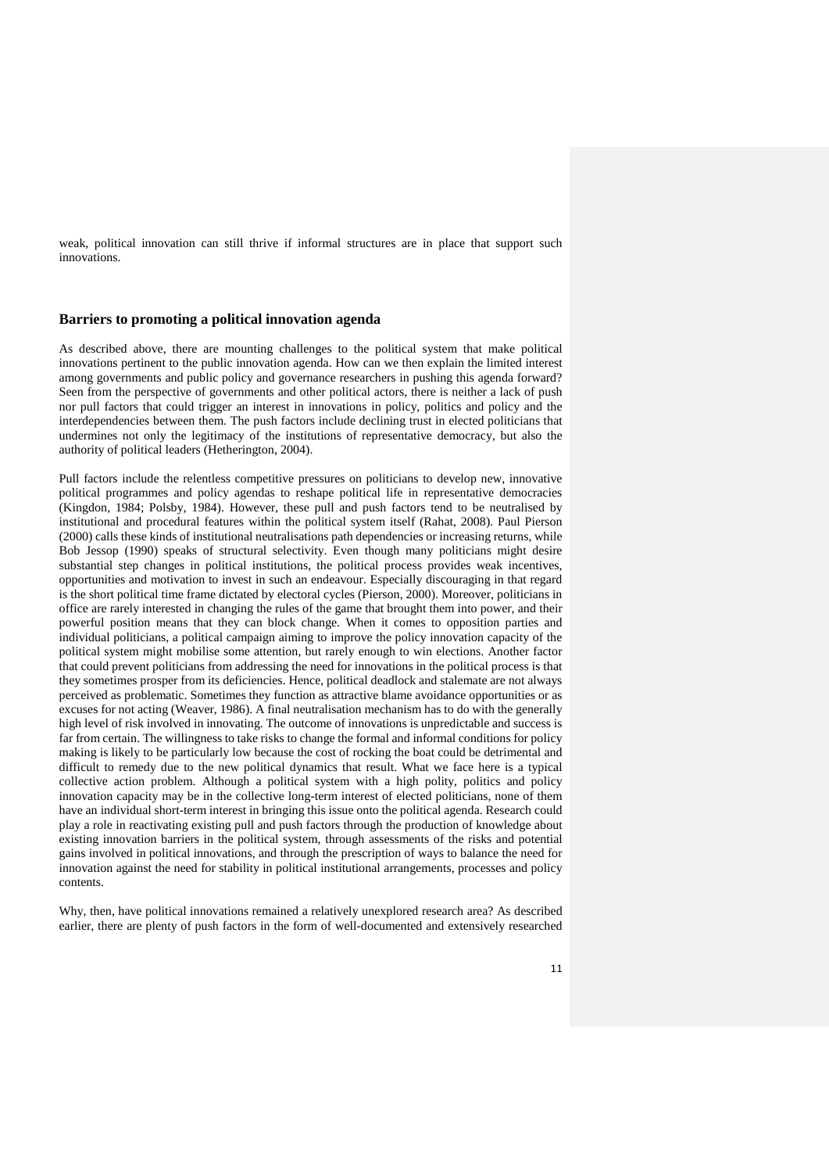weak, political innovation can still thrive if informal structures are in place that support such innovations.

#### **Barriers to promoting a political innovation agenda**

As described above, there are mounting challenges to the political system that make political innovations pertinent to the public innovation agenda. How can we then explain the limited interest among governments and public policy and governance researchers in pushing this agenda forward? Seen from the perspective of governments and other political actors, there is neither a lack of push nor pull factors that could trigger an interest in innovations in policy, politics and policy and the interdependencies between them. The push factors include declining trust in elected politicians that undermines not only the legitimacy of the institutions of representative democracy, but also the authority of political leaders (Hetherington, 2004).

Pull factors include the relentless competitive pressures on politicians to develop new, innovative political programmes and policy agendas to reshape political life in representative democracies (Kingdon, 1984; Polsby, 1984). However, these pull and push factors tend to be neutralised by institutional and procedural features within the political system itself (Rahat, 2008). Paul Pierson (2000) calls these kinds of institutional neutralisations path dependencies or increasing returns, while Bob Jessop (1990) speaks of structural selectivity. Even though many politicians might desire substantial step changes in political institutions, the political process provides weak incentives, opportunities and motivation to invest in such an endeavour. Especially discouraging in that regard is the short political time frame dictated by electoral cycles (Pierson, 2000). Moreover, politicians in office are rarely interested in changing the rules of the game that brought them into power, and their powerful position means that they can block change. When it comes to opposition parties and individual politicians, a political campaign aiming to improve the policy innovation capacity of the political system might mobilise some attention, but rarely enough to win elections. Another factor that could prevent politicians from addressing the need for innovations in the political process is that they sometimes prosper from its deficiencies. Hence, political deadlock and stalemate are not always perceived as problematic. Sometimes they function as attractive blame avoidance opportunities or as excuses for not acting (Weaver, 1986). A final neutralisation mechanism has to do with the generally high level of risk involved in innovating. The outcome of innovations is unpredictable and success is far from certain. The willingness to take risks to change the formal and informal conditions for policy making is likely to be particularly low because the cost of rocking the boat could be detrimental and difficult to remedy due to the new political dynamics that result. What we face here is a typical collective action problem. Although a political system with a high polity, politics and policy innovation capacity may be in the collective long-term interest of elected politicians, none of them have an individual short-term interest in bringing this issue onto the political agenda. Research could play a role in reactivating existing pull and push factors through the production of knowledge about existing innovation barriers in the political system, through assessments of the risks and potential gains involved in political innovations, and through the prescription of ways to balance the need for innovation against the need for stability in political institutional arrangements, processes and policy contents.

Why, then, have political innovations remained a relatively unexplored research area? As described earlier, there are plenty of push factors in the form of well-documented and extensively researched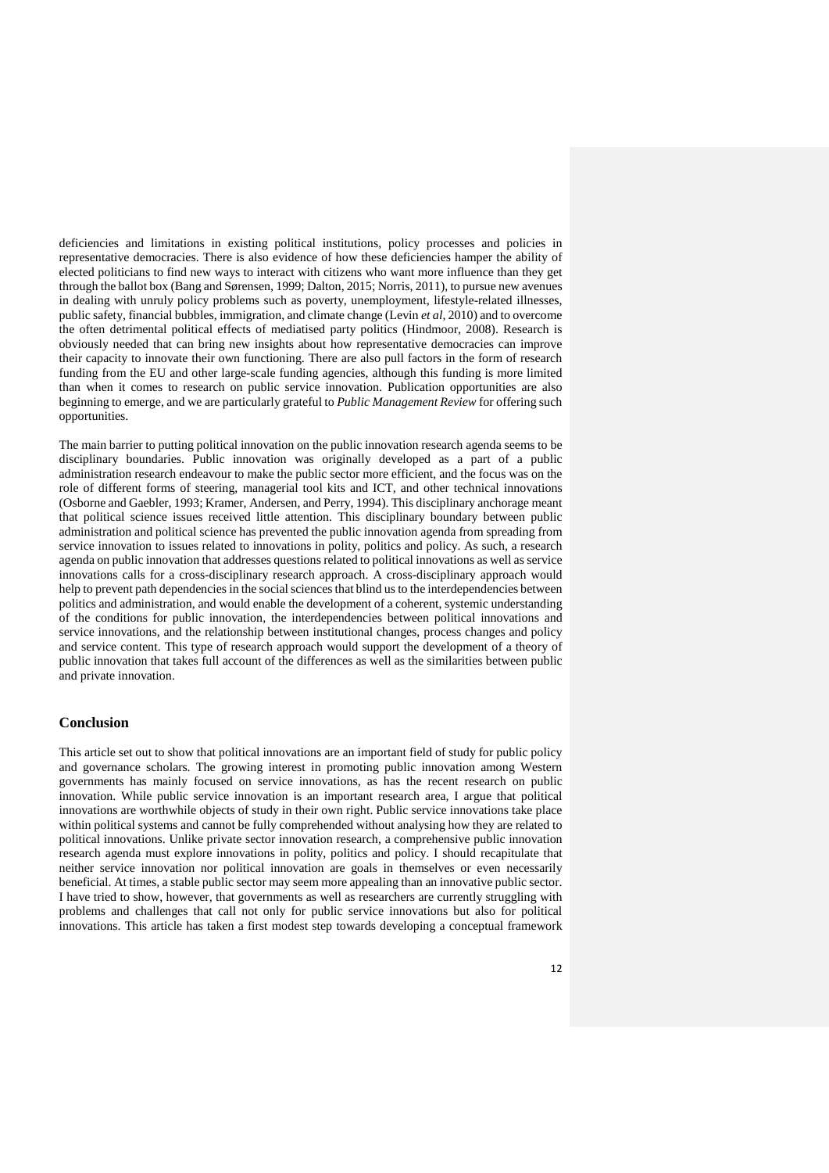deficiencies and limitations in existing political institutions, policy processes and policies in representative democracies. There is also evidence of how these deficiencies hamper the ability of elected politicians to find new ways to interact with citizens who want more influence than they get through the ballot box (Bang and Sørensen, 1999; Dalton, 2015; Norris, 2011), to pursue new avenues in dealing with unruly policy problems such as poverty, unemployment, lifestyle-related illnesses, public safety, financial bubbles, immigration, and climate change (Levin *et al*, 2010) and to overcome the often detrimental political effects of mediatised party politics (Hindmoor, 2008). Research is obviously needed that can bring new insights about how representative democracies can improve their capacity to innovate their own functioning. There are also pull factors in the form of research funding from the EU and other large-scale funding agencies, although this funding is more limited than when it comes to research on public service innovation. Publication opportunities are also beginning to emerge, and we are particularly grateful to *Public Management Review* for offering such opportunities.

The main barrier to putting political innovation on the public innovation research agenda seems to be disciplinary boundaries. Public innovation was originally developed as a part of a public administration research endeavour to make the public sector more efficient, and the focus was on the role of different forms of steering, managerial tool kits and ICT, and other technical innovations (Osborne and Gaebler, 1993; Kramer, Andersen, and Perry, 1994). This disciplinary anchorage meant that political science issues received little attention. This disciplinary boundary between public administration and political science has prevented the public innovation agenda from spreading from service innovation to issues related to innovations in polity, politics and policy. As such, a research agenda on public innovation that addresses questions related to political innovations as well as service innovations calls for a cross-disciplinary research approach. A cross-disciplinary approach would help to prevent path dependencies in the social sciences that blind us to the interdependencies between politics and administration, and would enable the development of a coherent, systemic understanding of the conditions for public innovation, the interdependencies between political innovations and service innovations, and the relationship between institutional changes, process changes and policy and service content. This type of research approach would support the development of a theory of public innovation that takes full account of the differences as well as the similarities between public and private innovation.

# **Conclusion**

This article set out to show that political innovations are an important field of study for public policy and governance scholars. The growing interest in promoting public innovation among Western governments has mainly focused on service innovations, as has the recent research on public innovation. While public service innovation is an important research area, I argue that political innovations are worthwhile objects of study in their own right. Public service innovations take place within political systems and cannot be fully comprehended without analysing how they are related to political innovations. Unlike private sector innovation research, a comprehensive public innovation research agenda must explore innovations in polity, politics and policy. I should recapitulate that neither service innovation nor political innovation are goals in themselves or even necessarily beneficial. At times, a stable public sector may seem more appealing than an innovative public sector. I have tried to show, however, that governments as well as researchers are currently struggling with problems and challenges that call not only for public service innovations but also for political innovations. This article has taken a first modest step towards developing a conceptual framework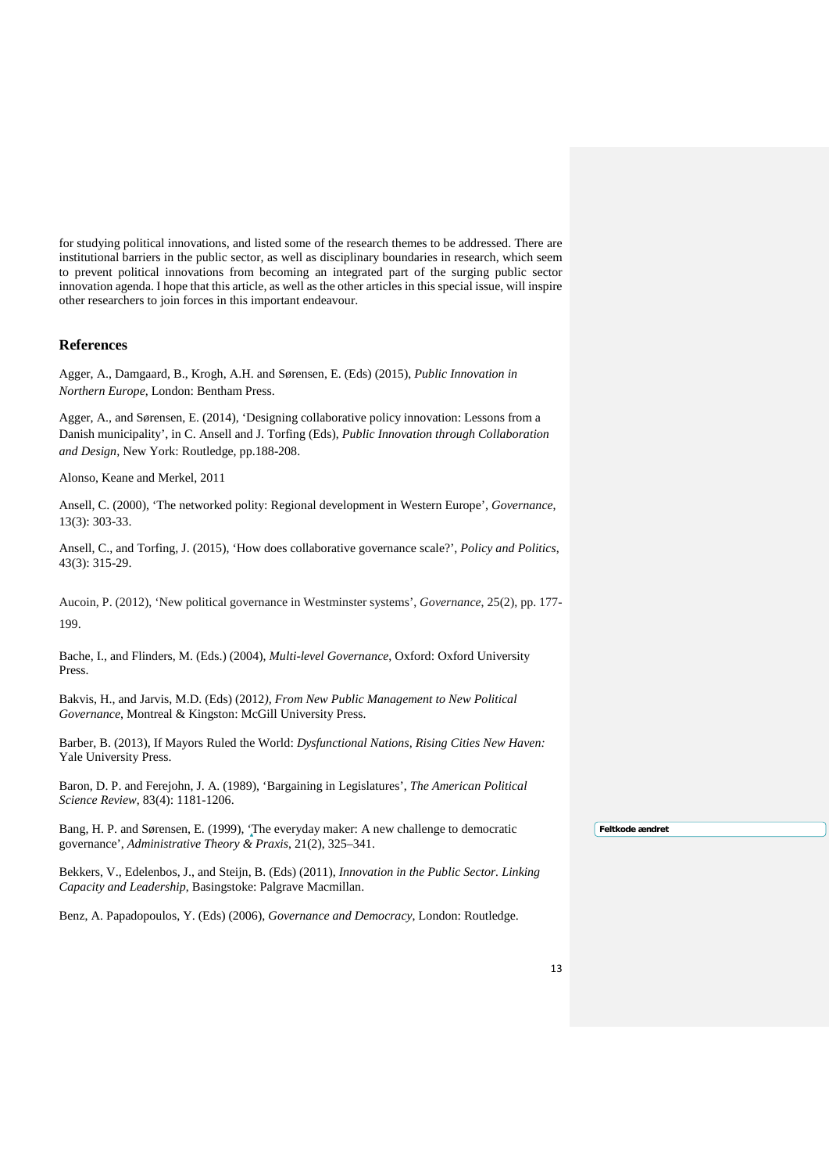for studying political innovations, and listed some of the research themes to be addressed. There are institutional barriers in the public sector, as well as disciplinary boundaries in research, which seem to prevent political innovations from becoming an integrated part of the surging public sector innovation agenda. I hope that this article, as well as the other articles in this special issue, will inspire other researchers to join forces in this important endeavour.

## **References**

Agger, A., Damgaard, B., Krogh, A.H. and Sørensen, E. (Eds) (2015), *Public Innovation in Northern Europe*, London: Bentham Press.

Agger, A., and Sørensen, E. (2014), 'Designing collaborative policy innovation: Lessons from a Danish municipality', in C. Ansell and J. Torfing (Eds), *Public Innovation through Collaboration and Design,* New York: Routledge, pp.188-208.

Alonso, Keane and Merkel, 2011

Ansell, C. (2000), 'The networked polity: Regional development in Western Europe', *Governance*, 13(3): 303-33.

Ansell, C., and Torfing, J. (2015), 'How does collaborative governance scale?', *Policy and Politics*, 43(3): 315-29.

Aucoin, P. (2012), 'New political governance in Westminster systems', *Governance*, 25(2), pp. 177- 199.

Bache, I., and Flinders, M. (Eds.) (2004), *Multi-level Governance*, Oxford: Oxford University Press.

Bakvis, H., and Jarvis, M.D. (Eds) (2012*), From New Public Management to New Political Governance*, Montreal & Kingston: McGill University Press.

Barber, B. (2013), If Mayors Ruled the World: *Dysfunctional Nations, Rising Cities New Haven:*  Yale University Press.

Baron, D. P. and Ferejohn, J. A. (1989), 'Bargaining in Legislatures', *The American Political Science Review*, 83(4): 1181-1206.

Bang, H. P. and Sørensen, E. (1999), ['The everyday maker: A new challenge to democratic](https://scholar.google.dk/scholar?oi=bibs&cluster=15532900126080004666&btnI=1&hl=en)  [governance'](https://scholar.google.dk/scholar?oi=bibs&cluster=15532900126080004666&btnI=1&hl=en), *Administrative Theory & Praxis*, 21(2), 325–341. **Feltkode ændret**

Bekkers, V., Edelenbos, J., and Steijn, B. (Eds) (2011), *Innovation in the Public Sector. Linking Capacity and Leadership*, Basingstoke: Palgrave Macmillan.

Benz, A. Papadopoulos, Y. (Eds) (2006), *Governance and Democracy*, London: Routledge.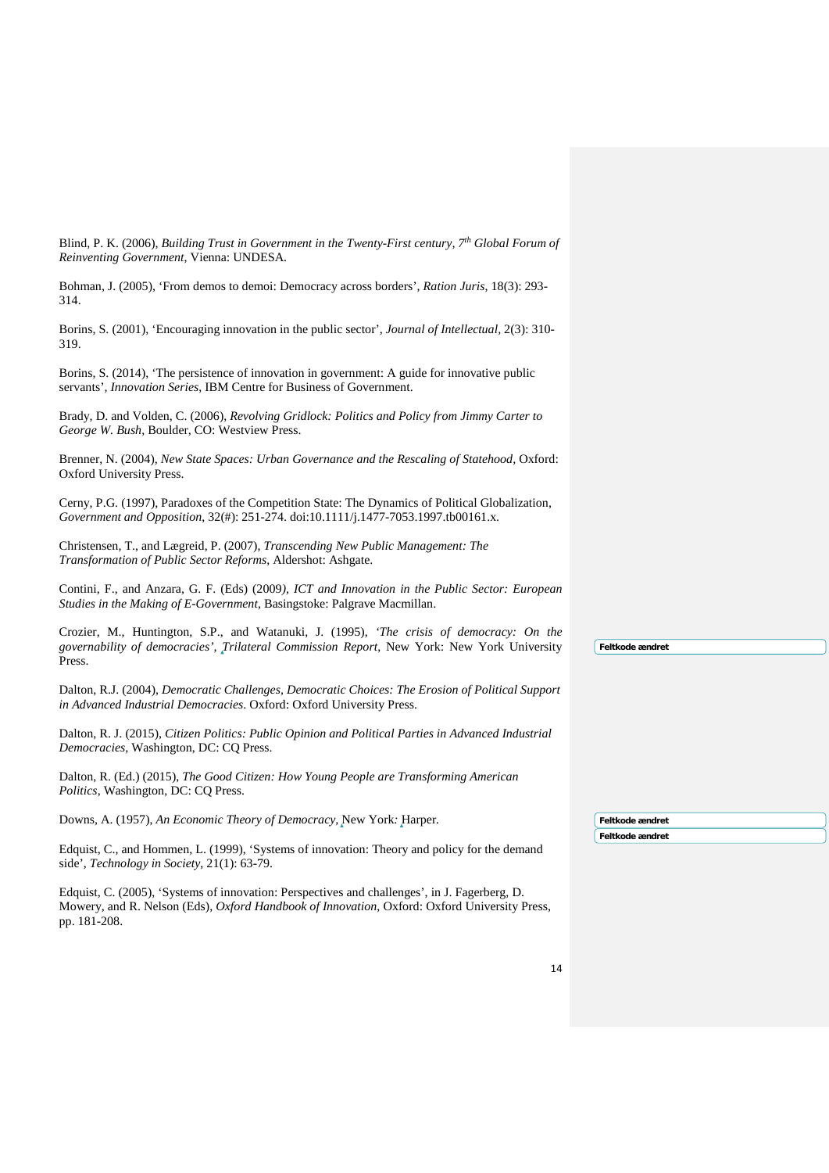Blind, P. K. (2006), *Building Trust in Government in the Twenty-First century, 7th Global Forum of Reinventing Government*, Vienna: UNDESA.

Bohman, J. (2005), 'From demos to demoi: Democracy across borders', *Ration Juris*, 18(3): 293- 314.

Borins, S. (2001), 'Encouraging innovation in the public sector', *Journal of Intellectual,* 2(3): 310- 319.

Borins, S. (2014), 'The persistence of innovation in government: A guide for innovative public servants'*, Innovation Series*, IBM Centre for Business of Government.

Brady, D. and Volden, C. (2006), *Revolving Gridlock: Politics and Policy from Jimmy Carter to George W. Bush,* Boulder, CO: Westview Press.

Brenner, N. (2004), *New State Spaces: Urban Governance and the Rescaling of Statehood*, Oxford: Oxford University Press.

Cerny, P.G. (1997), Paradoxes of the Competition State: The Dynamics of Political Globalization, *Government and Opposition*, 32(#): 251-274. doi:10.1111/j.1477-7053.1997.tb00161.x.

Christensen, T., and Lægreid, P. (2007), *Transcending New Public Management: The Transformation of Public Sector Reforms*, Aldershot: Ashgate.

Contini, F., and Anzara, G. F. (Eds) (2009*), ICT and Innovation in the Public Sector: European Studies in the Making of E-Government*, Basingstoke: Palgrave Macmillan.

Crozier, M., Huntington, S.P., and Watanuki, J. (1995), *'The crisis of democracy: On the governability of democracies', [Trilateral Commission](https://en.wikipedia.org/wiki/Trilateral_Commission) Report*, New York: New York University Press.

Dalton, R.J. (2004), *Democratic Challenges, Democratic Choices: The Erosion of Political Support in Advanced Industrial Democracies*. Oxford: Oxford University Press.

Dalton, R. J. (2015), *Citizen Politics: Public Opinion and Political Parties in Advanced Industrial Democracies,* Washington, DC: CQ Press.

Dalton, R. (Ed.) (2015), *The Good Citizen: How Young People are Transforming American Politics*, Washington, DC: CQ Press.

Downs, A. (1957), *An Economic Theory of Democracy,* [New York](https://en.wikipedia.org/wiki/New_York_City)*:* [Harper](https://en.wikipedia.org/wiki/Harper_%26_Brothers)*.*

Edquist, C., and Hommen, L. (1999), 'Systems of innovation: Theory and policy for the demand side', *Technology in Society*, 21(1): 63-79.

Edquist, C. (2005), 'Systems of innovation: Perspectives and challenges', in J. Fagerberg, D. Mowery, and R. Nelson (Eds), *Oxford Handbook of Innovation*, Oxford: Oxford University Press, pp. 181-208.

**Feltkode ændret Feltkode ændret**

**Feltkode ændret**

14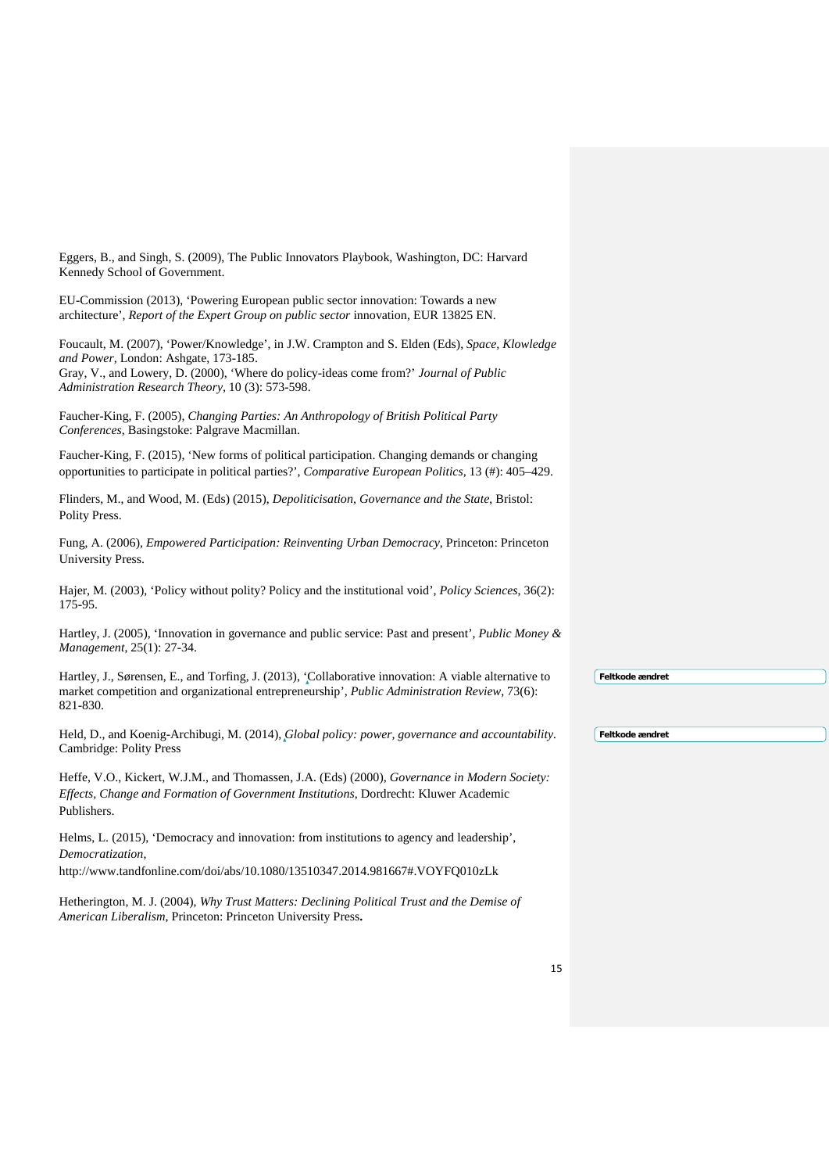EU-Commission (2013), 'Powering European public sector innovation: Towards a new architecture', *Report of the Expert Group on public sector* innovation, EUR 13825 EN. Foucault, M. (2007), 'Power/Knowledge', in J.W. Crampton and S. Elden (Eds), *Space, Klowledge and Power,* London: Ashgate, 173-185. Gray, V., and Lowery, D. (2000), 'Where do policy-ideas come from?' *Journal of Public Administration Research Theory,* 10 (3): 573-598. Faucher-King, F. (2005), *Changing Parties: An Anthropology of British Political Party Conferences*, Basingstoke: Palgrave Macmillan. Faucher-King, F. (2015), 'New forms of political participation. Changing demands or changing opportunities to participate in political parties?', *Comparative European Politics*, 13 (#): 405–429. Flinders, M., and Wood, M. (Eds) (2015), *Depoliticisation, Governance and the State*, Bristol: Polity Press. Fung, A. (2006), *Empowered Participation: Reinventing Urban Democracy*, Princeton: Princeton University Press. Hajer, M. (2003), 'Policy without polity? Policy and the institutional void', *Policy Sciences*, 36(2): 175-95. Hartley, J. (2005), 'Innovation in governance and public service: Past and present', *Public Money & Management*, 25(1): 27-34. Hartley, J., Sørensen, E., and Torfing, J. (2013), ['Collaborative innovation: A viable alternative to](http://rucforsk.ruc.dk/site/da/publications/collaborative-innovation%2829609462-cc63-461d-b424-1796ddc74321%29.html)  [market competition and organizational entrepreneurship'](http://rucforsk.ruc.dk/site/da/publications/collaborative-innovation%2829609462-cc63-461d-b424-1796ddc74321%29.html), *Public Administration Review*, 73(6): 821-830. Held, D., and Koenig-Archibugi, M. (2014), *[Global policy: power, governance and accountability.](http://www.researchgate.net/publication/264437735_Global_Policy_Power_Governance_and_Accountability)*  Cambridge: Polity Press Heffe, V.O., Kickert, W.J.M., and Thomassen, J.A. (Eds) (2000), *Governance in Modern Society: Effects, Change and Formation of Government Institutions*, Dordrecht: Kluwer Academic Publishers. Helms, L. (2015), 'Democracy and innovation: from institutions to agency and leadership', *Democratization*, http://www.tandfonline.com/doi/abs/10.1080/13510347.2014.981667#.VOYFQ010zLk Hetherington, M. J. (2004), *Why Trust Matters: Declining Political Trust and the Demise of American Liberalism*, Princeton: Princeton University Press**. Feltkode ændret Feltkode ændret**

Eggers, B., and Singh, S. (2009), The Public Innovators Playbook, Washington, DC: Harvard

Kennedy School of Government.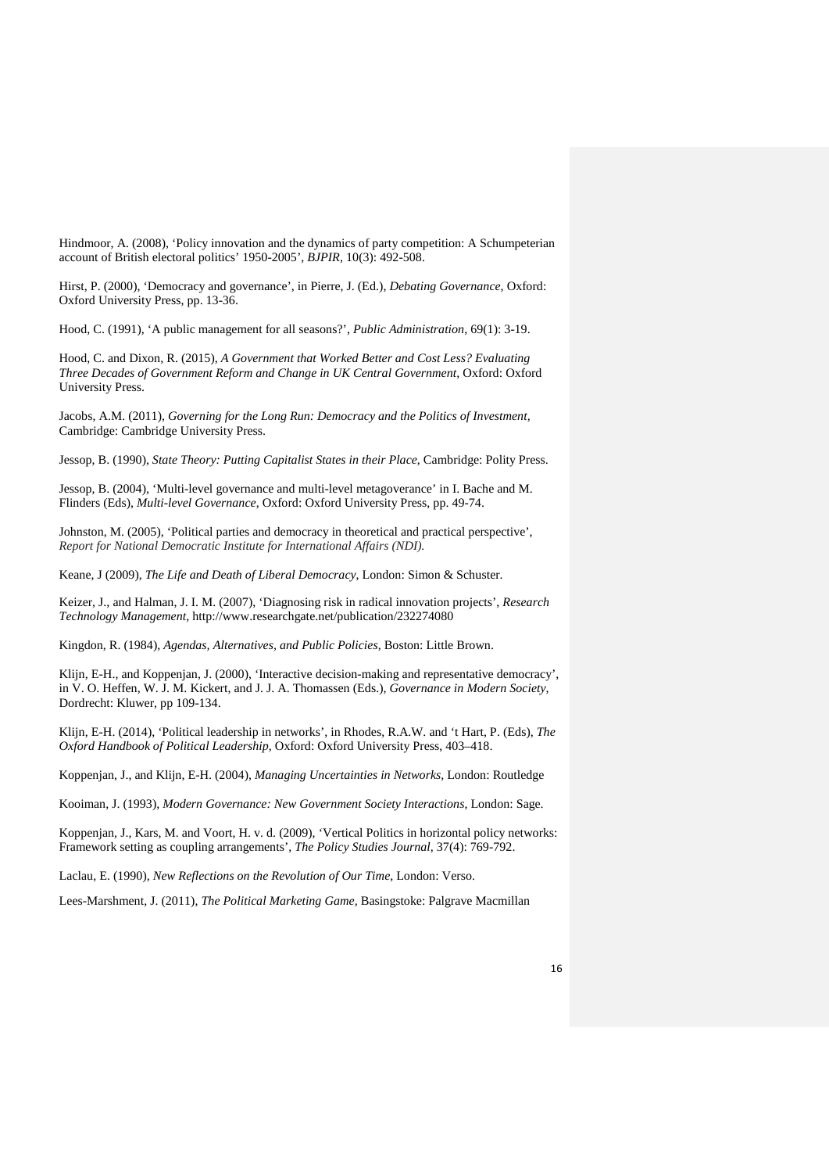Hindmoor, A. (2008), 'Policy innovation and the dynamics of party competition: A Schumpeterian account of British electoral politics' 1950-2005', *BJPIR,* 10(3): 492-508.

Hirst, P. (2000), 'Democracy and governance', in Pierre, J. (Ed.), *Debating Governance*, Oxford: Oxford University Press, pp. 13-36.

Hood, C. (1991), 'A public management for all seasons?', *Public Administration*, 69(1): 3-19.

Hood, C. and Dixon, R. (2015), *A Government that Worked Better and Cost Less? Evaluating Three Decades of Government Reform and Change in UK Central Government*, Oxford: Oxford University Press.

Jacobs, A.M. (2011), *Governing for the Long Run: Democracy and the Politics of Investment,* Cambridge: Cambridge University Press.

Jessop, B. (1990), *State Theory: Putting Capitalist States in their Place*, Cambridge: Polity Press.

Jessop, B. (2004), 'Multi-level governance and multi-level metagoverance' in I. Bache and M. Flinders (Eds), *Multi-level Governance*, Oxford: Oxford University Press, pp. 49-74.

Johnston, M. (2005), 'Political parties and democracy in theoretical and practical perspective', *Report for National Democratic Institute for International Affairs (NDI).*

Keane, J (2009), *The Life and Death of Liberal Democracy*, London: Simon & Schuster.

Keizer, J., and Halman, J. I. M. (2007), 'Diagnosing risk in radical innovation projects', *Research Technology Management*, http://www.researchgate.net/publication/232274080

Kingdon, R. (1984), *Agendas, Alternatives, and Public Policies*, Boston: Little Brown.

Klijn, E-H., and Koppenjan, J. (2000), 'Interactive decision-making and representative democracy', in V. O. Heffen, W. J. M. Kickert, and J. J. A. Thomassen (Eds.), *Governance in Modern Society*, Dordrecht: Kluwer, pp 109-134.

Klijn, E-H. (2014), 'Political leadership in networks', in Rhodes, R.A.W. and 't Hart, P. (Eds), *The Oxford Handbook of Political Leadership*, Oxford: Oxford University Press, 403–418.

Koppenjan, J., and Klijn, E-H. (2004), *Managing Uncertainties in Networks,* London: Routledge

Kooiman, J. (1993), *Modern Governance: New Government Society Interactions*, London: Sage.

Koppenjan, J., Kars, M. and Voort, H. v. d. (2009), 'Vertical Politics in horizontal policy networks: Framework setting as coupling arrangements', *The Policy Studies Journal,* 37(4): 769-792.

Laclau, E. (1990), *New Reflections on the Revolution of Our Time*, London: Verso.

Lees-Marshment, J. (2011), *The Political Marketing Game,* Basingstoke: Palgrave Macmillan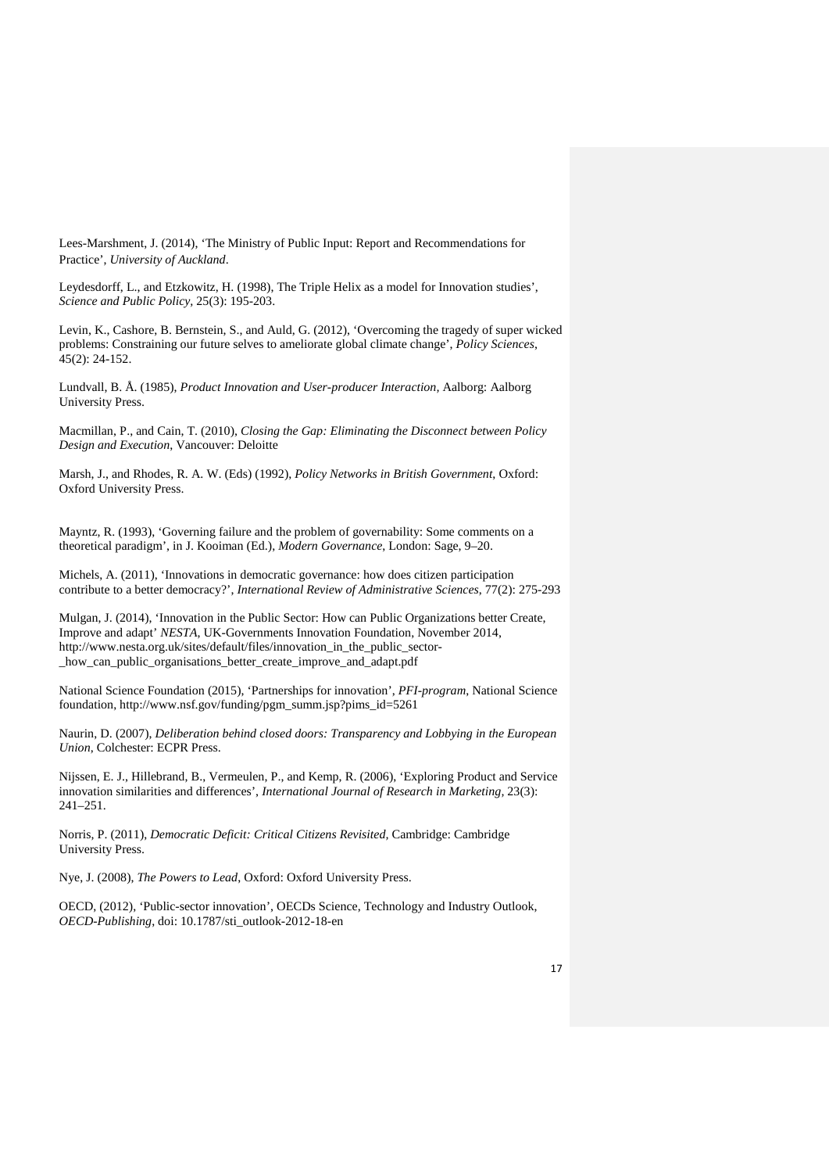Lees-Marshment, J. (2014), 'The Ministry of Public Input: Report and Recommendations for Practice', *University of Auckland*.

Leydesdorff, L., and Etzkowitz, H. (1998), The Triple Helix as a model for Innovation studies', *Science and Public Policy,* 25(3): 195-203.

Levin, K., Cashore, B. Bernstein, S., and Auld, G. (2012), 'Overcoming the tragedy of super wicked problems: Constraining our future selves to ameliorate global climate change', *Policy Sciences*, 45(2): 24-152.

Lundvall, B. Å. (1985), *Product Innovation and User-producer Interaction,* Aalborg: Aalborg University Press.

Macmillan, P., and Cain, T. (2010), *Closing the Gap: Eliminating the Disconnect between Policy Design and Execution*, Vancouver: Deloitte

Marsh, J., and Rhodes, R. A. W. (Eds) (1992), *Policy Networks in British Government*, Oxford: Oxford University Press.

Mayntz, R. (1993), 'Governing failure and the problem of governability: Some comments on a theoretical paradigm', in J. Kooiman (Ed.), *Modern Governance*, London: Sage, 9–20.

Michels, A. (2011), 'Innovations in democratic governance: how does citizen participation contribute to a better democracy?', *International Review of Administrative Sciences*, 77(2): 275-293

Mulgan, J. (2014), 'Innovation in the Public Sector: How can Public Organizations better Create, Improve and adapt' *NESTA*, UK-Governments Innovation Foundation, November 2014, http://www.nesta.org.uk/sites/default/files/innovation\_in\_the\_public\_sector how can public organisations better create improve and adapt.pdf

National Science Foundation (2015), 'Partnerships for innovation', *PFI-program*, National Science foundation, http://www.nsf.gov/funding/pgm\_summ.jsp?pims\_id=5261

Naurin, D. (2007), *Deliberation behind closed doors: Transparency and Lobbying in the European Union*, Colchester: ECPR Press.

Nijssen, E. J., Hillebrand, B., Vermeulen, P., and Kemp, R. (2006), 'Exploring Product and Service innovation similarities and differences', *International Journal of Research in Marketing*, 23(3): 241–251.

Norris, P. (2011), *Democratic Deficit: Critical Citizens Revisited,* Cambridge: Cambridge University Press.

Nye, J. (2008), *The Powers to Lead*, Oxford: Oxford University Press.

OECD, (2012), 'Public-sector innovation', OECDs Science, Technology and Industry Outlook, *OECD-Publishing*, doi: 10.1787/sti\_outlook-2012-18-en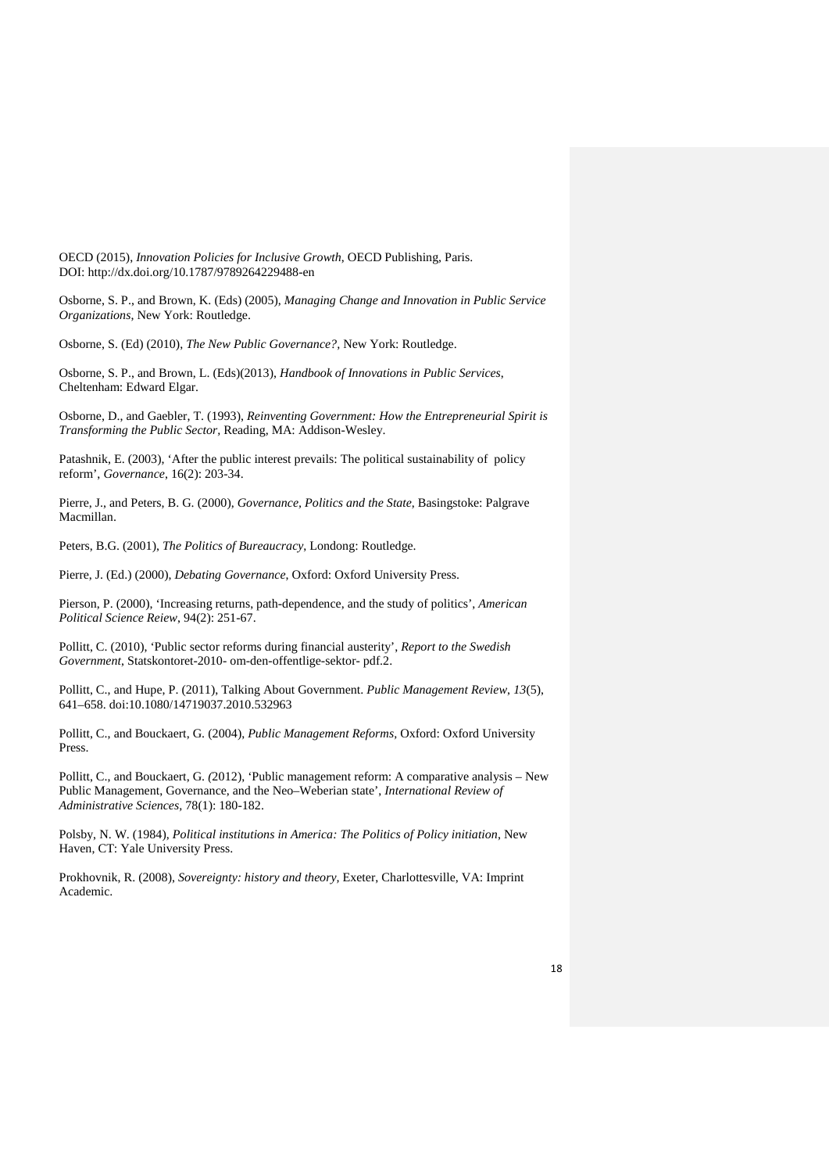OECD (2015), *Innovation Policies for Inclusive Growth*, OECD Publishing, Paris. DOI: http://dx.doi.org/10.1787/9789264229488-en

Osborne, S. P., and Brown, K. (Eds) (2005), *Managing Change and Innovation in Public Service Organizations*, New York: Routledge.

Osborne, S. (Ed) (2010), *The New Public Governance?,* New York: Routledge.

Osborne, S. P., and Brown, L. (Eds)(2013), *Handbook of Innovations in Public Services*, Cheltenham: Edward Elgar.

Osborne, D., and Gaebler, T. (1993), *Reinventing Government: How the Entrepreneurial Spirit is Transforming the Public Sector,* Reading, MA: Addison-Wesley.

Patashnik, E. (2003), 'After the public interest prevails: The political sustainability of policy reform', *Governance*, 16(2): 203-34.

Pierre, J., and Peters, B. G. (2000), *Governance, Politics and the State*, Basingstoke: Palgrave Macmillan.

Peters, B.G. (2001), *The Politics of Bureaucracy*, Londong: Routledge.

Pierre, J. (Ed.) (2000), *Debating Governance*, Oxford: Oxford University Press.

Pierson, P. (2000), 'Increasing returns, path-dependence, and the study of politics', *American Political Science Reiew*, 94(2): 251-67.

Pollitt, C. (2010), 'Public sector reforms during financial austerity', *Report to the Swedish Government*, Statskontoret-2010- om-den-offentlige-sektor- pdf.2.

Pollitt, C., and Hupe, P. (2011), Talking About Government. *Public Management Review*, *13*(5), 641–658. doi:10.1080/14719037.2010.532963

Pollitt, C., and Bouckaert, G. (2004), *Public Management Reforms,* Oxford: Oxford University Press.

Pollitt, C., and Bouckaert, G. *(*2012), 'Public management reform: A comparative analysis – New Public Management, Governance, and the Neo–Weberian state', *International Review of Administrative Sciences,* 78(1): 180-182.

Polsby, N. W. (1984), *Political institutions in America: The Politics of Policy initiation*, New Haven, CT: Yale University Press.

[Prokhovnik, R.](https://en.wikipedia.org/wiki/Raia_Prokhovnik) (2008), *Sovereignty: history and theory,* Exeter, Charlottesville, VA: Imprint Academic.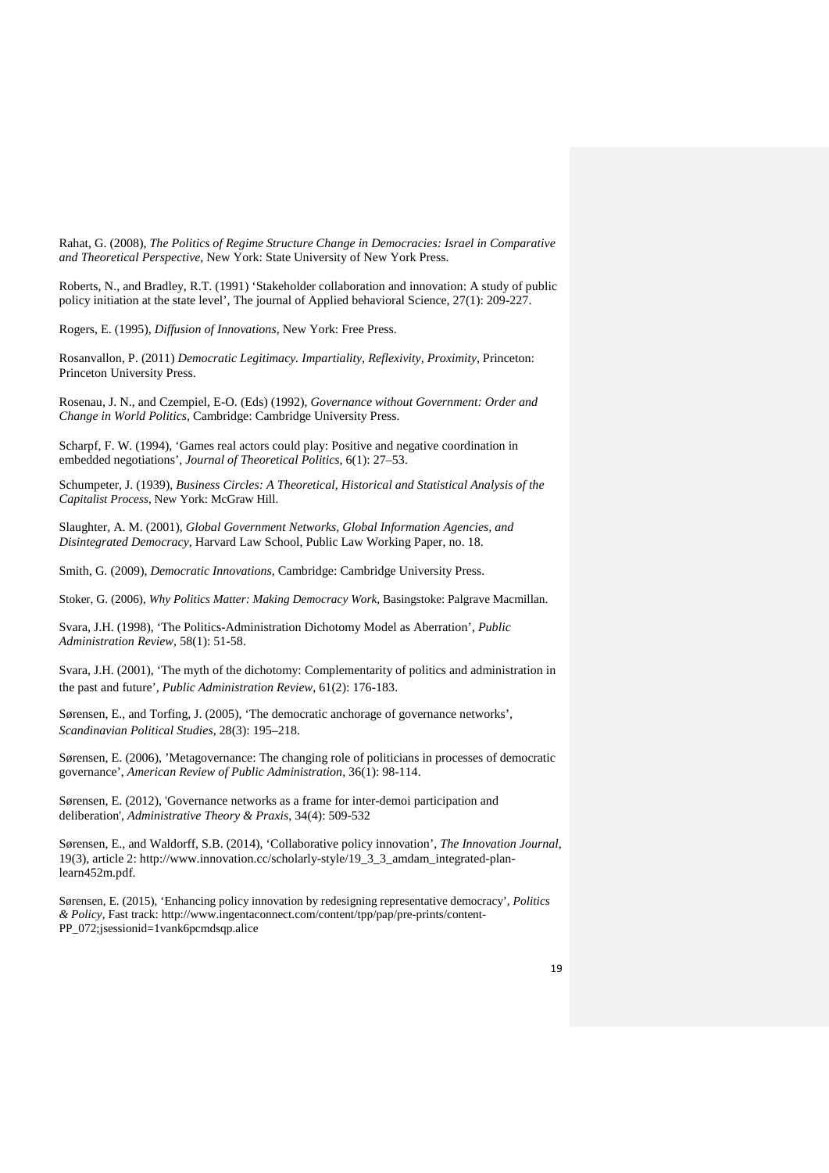Rahat, G. (2008), *The Politics of Regime Structure Change in Democracies: Israel in Comparative and Theoretical Perspective*, New York: State University of New York Press.

Roberts, N., and Bradley, R.T. (1991) 'Stakeholder collaboration and innovation: A study of public policy initiation at the state level', The journal of Applied behavioral Science, 27(1): 209-227.

Rogers, E. (1995), *Diffusion of Innovations*, New York: Free Press.

Rosanvallon, P. (2011) *Democratic Legitimacy. Impartiality, Reflexivity, Proximity*, Princeton: Princeton University Press.

Rosenau, J. N., and Czempiel, E-O. (Eds) (1992), *Governance without Government: Order and Change in World Politics*, Cambridge: Cambridge University Press.

Scharpf, F. W. (1994), 'Games real actors could play: Positive and negative coordination in embedded negotiations', *Journal of Theoretical Politics*, 6(1): 27–53.

Schumpeter, J. (1939), *Business Circles: A Theoretical, Historical and Statistical Analysis of the Capitalist Process*, New York: McGraw Hill.

Slaughter, A. M. (2001), *Global Government Networks, Global Information Agencies, and Disintegrated Democracy*, Harvard Law School, Public Law Working Paper, no. 18.

Smith, G. (2009), *Democratic Innovations*, Cambridge: Cambridge University Press.

Stoker, G. (2006), *Why Politics Matter: Making Democracy Work*, Basingstoke: Palgrave Macmillan.

Svara, J.H. (1998), 'The Politics-Administration Dichotomy Model as Aberration', *Public Administration Review,* 58(1): 51-58.

Svara, J.H. (2001), 'The myth of the dichotomy: Complementarity of politics and administration in the past and future'*, Public Administration Review*, 61(2): 176-183.

Sørensen, E., and Torfing, J. (2005), 'The democratic anchorage of governance networks', *Scandinavian Political Studies*, 28(3): 195–218.

Sørensen, E. (2006), 'Metagovernance: The changing role of politicians in processes of democratic governance', *American Review of Public Administration*, 36(1): 98-114.

Sørensen, E. (2012), 'Governance networks as a frame for inter-demoi participation and deliberation', *Administrative Theory & Praxis*, 34(4): 509-532

Sørensen, E., and Waldorff, S.B. (2014), 'Collaborative policy innovation', *The Innovation Journal*, 19(3), article 2: http://www.innovation.cc/scholarly-style/19\_3\_3\_amdam\_integrated-planlearn452m.pdf.

Sørensen, E. (2015), 'Enhancing policy innovation by redesigning representative democracy', *Politics & Policy*, Fast track: http://www.ingentaconnect.com/content/tpp/pap/pre-prints/content-PP\_072;jsessionid=1vank6pcmdsqp.alice